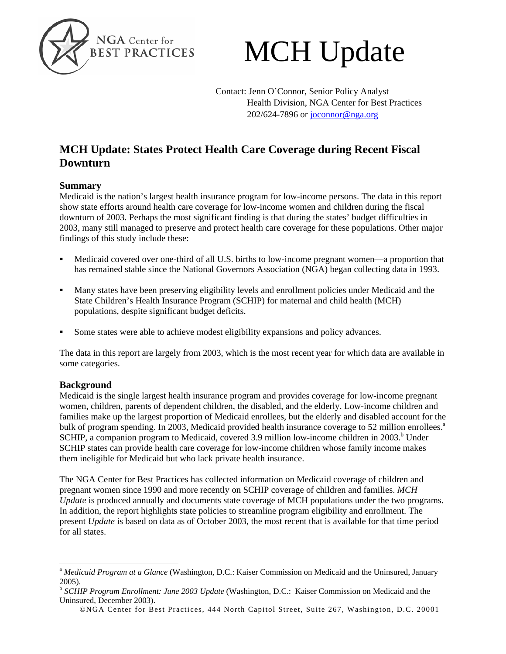

# MCH Update

Contact: Jenn O'Connor, Senior Policy Analyst Health Division, NGA Center for Best Practices 202/624-7896 or [joconnor@nga.org](mailto:joconnor@nga.org)

## **MCH Update: States Protect Health Care Coverage during Recent Fiscal Downturn**

## **Summary**

Medicaid is the nation's largest health insurance program for low-income persons. The data in this report show state efforts around health care coverage for low-income women and children during the fiscal downturn of 2003. Perhaps the most significant finding is that during the states' budget difficulties in 2003, many still managed to preserve and protect health care coverage for these populations. Other major findings of this study include these:

- Medicaid covered over one-third of all U.S. births to low-income pregnant women—a proportion that has remained stable since the National Governors Association (NGA) began collecting data in 1993.
- Many states have been preserving eligibility levels and enrollment policies under Medicaid and the State Children's Health Insurance Program (SCHIP) for maternal and child health (MCH) populations, despite significant budget deficits.
- Some states were able to achieve modest eligibility expansions and policy advances.

The data in this report are largely from 2003, which is the most recent year for which data are available in some categories.

## **Background**

Medicaid is the single largest health insurance program and provides coverage for low-income pregnant women, children, parents of dependent children, the disabled, and the elderly. Low-income children and families make up the largest proportion of Medicaid enrollees, but the elderly and disabled account for the bulk of program spending. In 2003, Medicaid provided health insurance coverage to 52 million enrollees.<sup>a</sup> SCHIP, a companion program to Medicaid, covered 3.9 million low-income children in 2003.<sup>b</sup> Under SCHIP states can provide health care coverage for low-income children whose family income makes them ineligible for Medicaid but who lack private health insurance.

The NGA Center for Best Practices has collected information on Medicaid coverage of children and pregnant women since 1990 and more recently on SCHIP coverage of children and families. *MCH Update* is produced annually and documents state coverage of MCH populations under the two programs. In addition, the report highlights state policies to streamline program eligibility and enrollment. The present *Update* is based on data as of October 2003, the most recent that is available for that time period for all states.

<span id="page-0-0"></span><sup>&</sup>lt;sup>a</sup> Medicaid Program at a Glance (Washington, D.C.: Kaiser Commission on Medicaid and the Uninsured, January 2005).

<span id="page-0-1"></span><sup>b</sup> *SCHIP Program Enrollment: June 2003 Update* (Washington, D.C.: Kaiser Commission on Medicaid and the Uninsured, December 2003).

<sup>©</sup>NGA Center for Best Practices, 444 North Capitol Street, Suite 267, Washington, D.C. 20001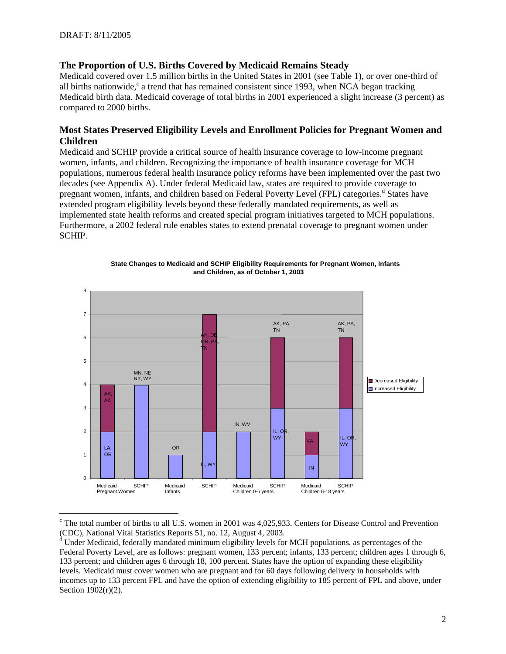## **The Proportion of U.S. Births Covered by Medicaid Remains Steady**

Medicaid covered over 1.5 million births in the United States in 2001 (see Table 1), or over one-third of all births nationwide, $c$  a trend that has remained consistent since 1993, when NGA began tracking Medicaid birth data. Medicaid coverage of total births in 2001 experienced a slight increase (3 percent) as compared to 2000 births.

## **Most States Preserved Eligibility Levels and Enrollment Policies for Pregnant Women and Children**

Medicaid and SCHIP provide a critical source of health insurance coverage to low-income pregnant women, infants, and children. Recognizing the importance of health insurance coverage for MCH populations, numerous federal health insurance policy reforms have been implemented over the past two decades (see Appendix A). Under federal Medicaid law, states are required to provide coverage to pregnant women, infants, an[d](#page-1-1) children based on Federal Poverty Level (FPL) categories.<sup>d</sup> States have extended program eligibility levels beyond these federally mandated requirements, as well as implemented state health reforms and created special program initiatives targeted to MCH populations. Furthermore, a 2002 federal rule enables states to extend prenatal coverage to pregnant women under SCHIP.



**State Changes to Medicaid and SCHIP Eligibility Requirements for Pregnant Women, Infants and Children, as of October 1, 2003**

<span id="page-1-0"></span> $\degree$  The total number of births to all U.S. women in 2001 was 4,025,933. Centers for Disease Control and Prevention (CDC), National Vital Statistics Reports 51, no. 12, August 4, 2003.

<span id="page-1-1"></span><sup>&</sup>lt;sup>d</sup> Under Medicaid, federally mandated minimum eligibility levels for MCH populations, as percentages of the Federal Poverty Level, are as follows: pregnant women, 133 percent; infants, 133 percent; children ages 1 through 6, 133 percent; and children ages 6 through 18, 100 percent. States have the option of expanding these eligibility levels. Medicaid must cover women who are pregnant and for 60 days following delivery in households with incomes up to 133 percent FPL and have the option of extending eligibility to 185 percent of FPL and above, under Section 1902(r)(2).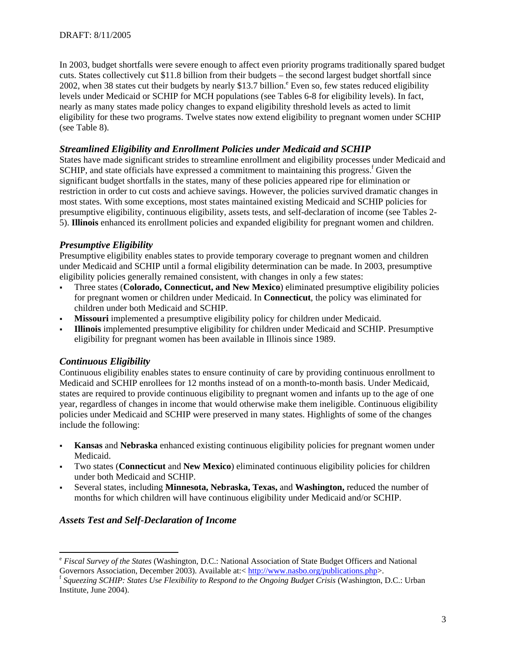In 2003, budget shortfalls were severe enough to affect even priority programs traditionally spared budget cuts. States collectively cut \$11.8 billion from their budgets – the second largest budget shortfall since 2002, when 38 states cut their budgets by nearly \$13.7 billion. $^{\circ}$  Even so, few states reduced eligibility levels under Medicaid or SCHIP for MCH populations (see Tables 6-8 for eligibility levels). In fact, nearly as many states made policy changes to expand eligibility threshold levels as acted to limit eligibility for these two programs. Twelve states now extend eligibility to pregnant women under SCHIP (see Table 8).

## *Streamlined Eligibility and Enrollment Policies under Medicaid and SCHIP*

States have made significant strides to streamline enrollment and eligibility processes under Medicaid and SCHIP, and state o[f](#page-2-1)ficials have expressed a commitment to maintaining this progress.<sup>f</sup> Given the significant budget shortfalls in the states, many of these policies appeared ripe for elimination or restriction in order to cut costs and achieve savings. However, the policies survived dramatic changes in most states. With some exceptions, most states maintained existing Medicaid and SCHIP policies for presumptive eligibility, continuous eligibility, assets tests, and self-declaration of income (see Tables 2- 5). **Illinois** enhanced its enrollment policies and expanded eligibility for pregnant women and children.

## *Presumptive Eligibility*

Presumptive eligibility enables states to provide temporary coverage to pregnant women and children under Medicaid and SCHIP until a formal eligibility determination can be made. In 2003, presumptive eligibility policies generally remained consistent, with changes in only a few states:

- Three states (**Colorado, Connecticut, and New Mexico**) eliminated presumptive eligibility policies for pregnant women or children under Medicaid. In **Connecticut**, the policy was eliminated for children under both Medicaid and SCHIP.
- **Missouri** implemented a presumptive eligibility policy for children under Medicaid.
- **Illinois** implemented presumptive eligibility for children under Medicaid and SCHIP. Presumptive eligibility for pregnant women has been available in Illinois since 1989.

## *Continuous Eligibility*

Continuous eligibility enables states to ensure continuity of care by providing continuous enrollment to Medicaid and SCHIP enrollees for 12 months instead of on a month-to-month basis. Under Medicaid, states are required to provide continuous eligibility to pregnant women and infants up to the age of one year, regardless of changes in income that would otherwise make them ineligible. Continuous eligibility policies under Medicaid and SCHIP were preserved in many states. Highlights of some of the changes include the following:

- **Kansas** and **Nebraska** enhanced existing continuous eligibility policies for pregnant women under Medicaid.
- Two states (**Connecticut** and **New Mexico**) eliminated continuous eligibility policies for children under both Medicaid and SCHIP.
- Several states, including **Minnesota, Nebraska, Texas,** and **Washington,** reduced the number of months for which children will have continuous eligibility under Medicaid and/or SCHIP.

## *Assets Test and Self-Declaration of Income*

<span id="page-2-0"></span><sup>&</sup>lt;sup>e</sup> *Fiscal Survey of the States* (Washington, D.C.: National Association of State Budget Officers and National Governors Association, December 2003). Available at: < http://www.nasbo.org/publications.php>.

<span id="page-2-1"></span><sup>&</sup>lt;sup>f</sup> Squeezing SCHIP: States Use Flexibility to Respond to the Ongoing Budget Crisis (Washington, D.C.: Urban Institute, June 2004).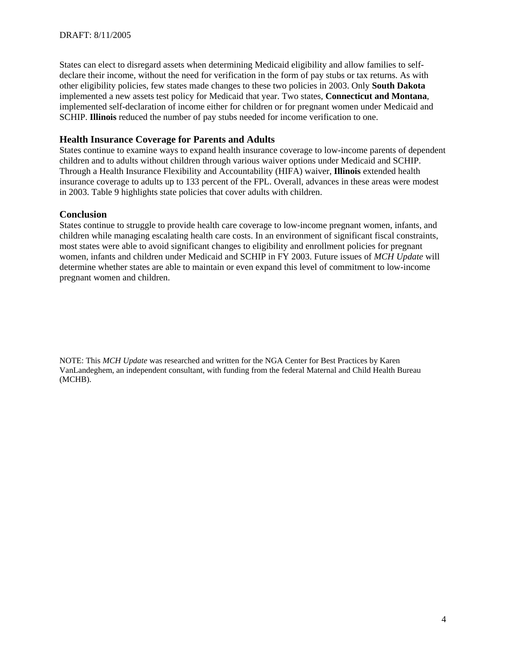States can elect to disregard assets when determining Medicaid eligibility and allow families to selfdeclare their income, without the need for verification in the form of pay stubs or tax returns. As with other eligibility policies, few states made changes to these two policies in 2003. Only **South Dakota** implemented a new assets test policy for Medicaid that year. Two states, **Connecticut and Montana**, implemented self-declaration of income either for children or for pregnant women under Medicaid and SCHIP. **Illinois** reduced the number of pay stubs needed for income verification to one.

## **Health Insurance Coverage for Parents and Adults**

States continue to examine ways to expand health insurance coverage to low-income parents of dependent children and to adults without children through various waiver options under Medicaid and SCHIP. Through a Health Insurance Flexibility and Accountability (HIFA) waiver, **Illinois** extended health insurance coverage to adults up to 133 percent of the FPL. Overall, advances in these areas were modest in 2003. Table 9 highlights state policies that cover adults with children.

## **Conclusion**

States continue to struggle to provide health care coverage to low-income pregnant women, infants, and children while managing escalating health care costs. In an environment of significant fiscal constraints, most states were able to avoid significant changes to eligibility and enrollment policies for pregnant women, infants and children under Medicaid and SCHIP in FY 2003. Future issues of *MCH Update* will determine whether states are able to maintain or even expand this level of commitment to low-income pregnant women and children.

NOTE: This *MCH Update* was researched and written for the NGA Center for Best Practices by Karen VanLandeghem, an independent consultant, with funding from the federal Maternal and Child Health Bureau (MCHB).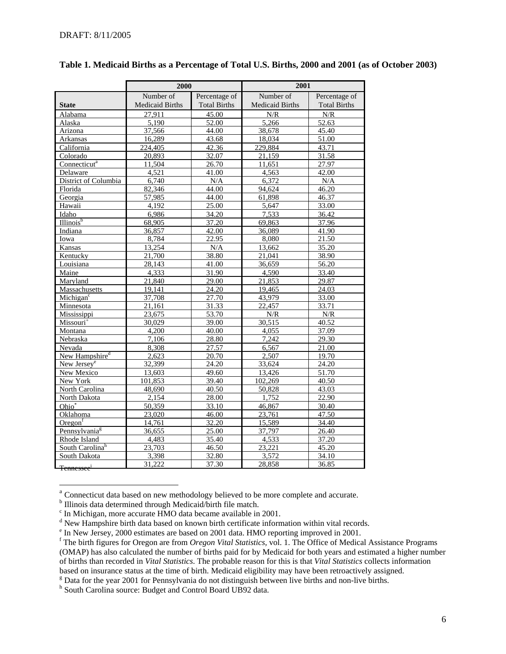|                                    | 2000                   |                     | 2001                   |                     |  |
|------------------------------------|------------------------|---------------------|------------------------|---------------------|--|
|                                    | Number of              | Percentage of       | Number of              | Percentage of       |  |
| <b>State</b>                       | <b>Medicaid Births</b> | <b>Total Births</b> | <b>Medicaid Births</b> | <b>Total Births</b> |  |
| Alabama                            | 27.911                 | 45.00               | N/R                    | N/R                 |  |
| Alaska                             | 5,190                  | 52.00               | 5,266                  | 52.63               |  |
| Arizona                            | 37,566                 | 44.00               | 38,678                 | 45.40               |  |
| Arkansas                           | 16,289                 | 43.68               | 18,034                 | 51.00               |  |
| California                         | 224,405                | 42.36               | 229,884                | 43.71               |  |
| Colorado                           | 20,893                 | 32.07               | 21,159                 | 31.58               |  |
| Connecticut <sup>a</sup>           | 11,504                 | 26.70               | 11,651                 | 27.97               |  |
| Delaware                           | 4,521                  | 41.00               | 4,563                  | 42.00               |  |
| District of Columbia               | 6,740                  | N/A                 | 6,372                  | N/A                 |  |
| Florida                            | 82,346                 | 44.00               | 94,624                 | 46.20               |  |
| Georgia                            | 57,985                 | 44.00               | 61,898                 | 46.37               |  |
| Hawaii                             | 4,192                  | 25.00               | 5,647                  | 33.00               |  |
| Idaho                              | 6,986                  | 34.20               | 7,533                  | 36.42               |  |
| Illinois <sup>b</sup>              | 68,905                 | 37.20               | 69,863                 | 37.96               |  |
| Indiana                            | 36,857                 | 42.00               | 36,089                 | 41.90               |  |
| Iowa                               | 8,784                  | 22.95               | 8,080                  | 21.50               |  |
| Kansas                             | 13,254                 | N/A                 | 13,662                 | 35.20               |  |
| Kentucky                           | 21,700                 | 38.80               | 21,041                 | 38.90               |  |
| Louisiana                          | 28,143                 | 41.00               | 36,659                 | 56.20               |  |
| Maine                              | 4,333                  | 31.90               | 4,590                  | 33.40               |  |
| Maryland                           | 21,840                 | 29.00               | 21,853                 | 29.87               |  |
| Massachusetts                      | 19,141                 | 24.20               | 19,465                 | 24.03               |  |
| Michigan <sup>c</sup>              | 37,708                 | 27.70               | 43,979                 | 33.00               |  |
| Minnesota                          | 21,161                 | 31.33               | 22,457                 | 33.71               |  |
| Mississippi                        | 23,675                 | 53.70               | N/R                    | N/R                 |  |
| Missouri <sup>+</sup>              | 30,029                 | 39.00               | 30,515                 | 40.52               |  |
| Montana                            | 4,200                  | 40.00               | 4,055                  | 37.09               |  |
| Nebraska                           | 7,106                  | 28.80               | 7,242                  | 29.30               |  |
| Nevada                             | 8,308                  | 27.57               | 6,567                  | 21.00               |  |
| New Hampshire <sup>d</sup>         | 2,623                  | 20.70               | 2,507                  | 19.70               |  |
| New Jersey <sup>e</sup>            | 32,399                 | 24.20               | 33,624                 | 24.20               |  |
| New Mexico                         | 13,603                 | 49.60               | 13,426                 | 51.70               |  |
| New York                           | 101.853                | 39.40               | 102,269                | 40.50               |  |
| North Carolina                     | 48,690                 | 40.50               | 50,828                 | 43.03               |  |
| North Dakota                       | 2,154                  | 28.00               | 1,752                  | 22.90               |  |
| Ohio*                              | 50,359                 | 33.10               | 46,867                 | 30.40               |  |
| Oklahoma                           | 23,020                 | 46.00               | 23,761                 | 47.50               |  |
| $O$ regon <sup>f</sup>             | 14,761                 | 32.20               | 15,589                 | 34.40               |  |
| Pennsylvania <sup>g</sup>          | 36,655                 | 25.00               | 37,797                 | 26.40               |  |
| Rhode Island                       | 4,483                  | 35.40               | 4,533                  | 37.20               |  |
| South Carolinah                    | 23,703                 | 46.50               | 23,221                 | 45.20               |  |
| South Dakota                       | 3,398                  | 32.80               | 3,572                  | 34.10               |  |
| <del>L Tennessee<sup>i</sup></del> | 31,222                 | 37.30               | 28,858                 | 36.85               |  |

## **Table 1. Medicaid Births as a Percentage of Total U.S. Births, 2000 and 2001 (as of October 2003)**

<span id="page-5-0"></span><sup>&</sup>lt;sup>a</sup> Connecticut data based on new methodology believed to be more complete and accurate.

<span id="page-5-2"></span><span id="page-5-1"></span>

<sup>&</sup>lt;sup>b</sup> Illinois data determined through Medicaid/birth file match.<br>
<sup>c</sup> In Michigan, more accurate HMO data became available in 2001.

<span id="page-5-3"></span> $\alpha$ <sup>d</sup> New Hampshire birth data based on known birth certificate information within vital records.

<span id="page-5-4"></span><sup>&</sup>lt;sup>e</sup> In New Jersey, 2000 estimates are based on 2001 data. HMO reporting improved in 2001.

<span id="page-5-8"></span><span id="page-5-5"></span><sup>&</sup>lt;sup>f</sup> The birth figures for Oregon are from *Oregon Vital Statistics*, vol. 1. The Office of Medical Assistance Programs (OMAP) has also calculated the number of births paid for by Medicaid for both years and estimated a higher number of births than recorded in *Vital Statistics*. The probable reason for this is that *Vital Statistics* collects information based on insurance status at the time of birth. Medicaid eligibility may have been retroactively assigned.

<span id="page-5-6"></span><sup>&</sup>lt;sup>g</sup> Data for the year 2001 for Pennsylvania do not distinguish between live births and non-live births.

<span id="page-5-7"></span>h South Carolina source: Budget and Control Board UB92 data.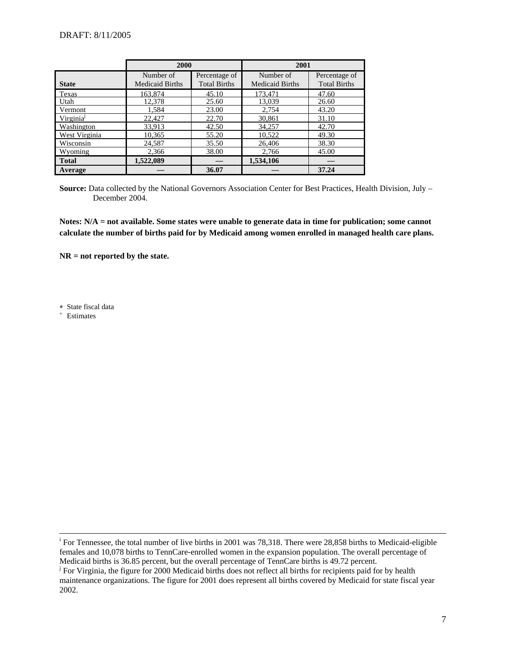|                       | 2000                                |                                      | 2001                                |                                      |
|-----------------------|-------------------------------------|--------------------------------------|-------------------------------------|--------------------------------------|
| <b>State</b>          | Number of<br><b>Medicaid Births</b> | Percentage of<br><b>Total Births</b> | Number of<br><b>Medicaid Births</b> | Percentage of<br><b>Total Births</b> |
|                       |                                     |                                      |                                     |                                      |
| Texas                 | 163,874                             | 45.10                                | 173.471                             | 47.60                                |
| Utah                  | 12,378                              | 25.60                                | 13,039                              | 26.60                                |
| Vermont               | 1,584                               | 23.00                                | 2,754                               | 43.20                                |
| Virginia <sup>J</sup> | 22,427                              | 22.70                                | 30,861                              | 31.10                                |
| Washington            | 33,913                              | 42.50                                | 34,257                              | 42.70                                |
| West Virginia         | 10,365                              | 55.20                                | 10,522                              | 49.30                                |
| Wisconsin             | 24,587                              | 35.50                                | 26,406                              | 38.30                                |
| Wyoming               | 2,366                               | 38.00                                | 2,766                               | 45.00                                |
| <b>Total</b>          | 1,522,089                           |                                      | 1,534,106                           |                                      |
| Average               |                                     | 36.07                                |                                     | 37.24                                |

**Source:** Data collected by the National Governors Association Center for Best Practices, Health Division, July – December 2004.

**Notes: N/A = not available. Some states were unable to generate data in time for publication; some cannot calculate the number of births paid for by Medicaid among women enrolled in managed health care plans.** 

**NR = not reported by the state.** 

∗ State fiscal data

<sup>+</sup> Estimates

<sup>&</sup>lt;sup>i</sup> For Tennessee, the total number of live births in 2001 was 78,318. There were 28,858 births to Medicaid-eligible females and 10,078 births to TennCare-enrolled women in the expansion population. The overall percentage of Medicaid births is 36.85 percent, but the overall percentage of TennCare births is 49.72 percent.

<span id="page-6-0"></span><sup>&</sup>lt;sup>j</sup> For Virginia, the figure for 2000 Medicaid births does not reflect all births for recipients paid for by health maintenance organizations. The figure for 2001 does represent all births covered by Medicaid for state fiscal year 2002.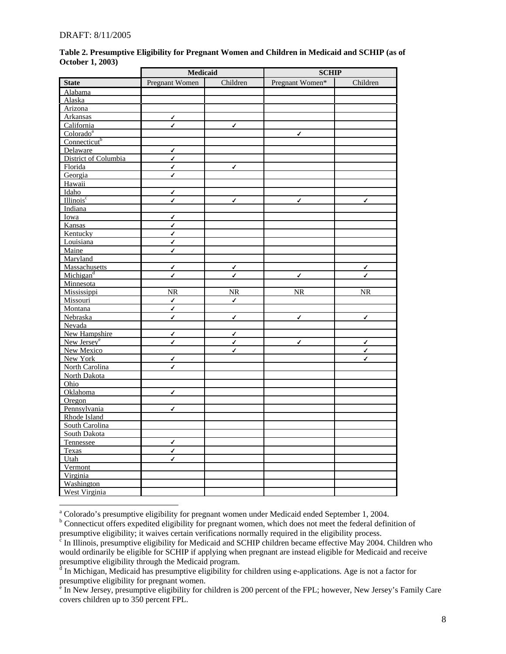l

|                          |                          | Medicaid     |                 | <b>SCHIP</b> |  |
|--------------------------|--------------------------|--------------|-----------------|--------------|--|
| <b>State</b>             | Pregnant Women           | Children     | Pregnant Women* | Children     |  |
| Alabama                  |                          |              |                 |              |  |
| Alaska                   |                          |              |                 |              |  |
| Arizona                  |                          |              |                 |              |  |
| Arkansas                 | $\sqrt{2}$               |              |                 |              |  |
| California               | $\checkmark$             | √            |                 |              |  |
| Colorado <sup>a</sup>    |                          |              | $\checkmark$    |              |  |
| Connecticut <sup>b</sup> |                          |              |                 |              |  |
| Delaware                 | $\checkmark$             |              |                 |              |  |
| District of Columbia     | $\overline{\mathcal{L}}$ |              |                 |              |  |
| Florida                  | $\checkmark$             | $\checkmark$ |                 |              |  |
| Georgia                  | $\checkmark$             |              |                 |              |  |
| Hawaii                   |                          |              |                 |              |  |
| Idaho                    | $\checkmark$             |              |                 |              |  |
| Illinois <sup>c</sup>    | √                        | $\checkmark$ | ✔               | √            |  |
| Indiana                  |                          |              |                 |              |  |
| Iowa                     | ✔                        |              |                 |              |  |
| Kansas                   | $\checkmark$             |              |                 |              |  |
| Kentucky                 | ✓                        |              |                 |              |  |
| Louisiana                | $\checkmark$             |              |                 |              |  |
| Maine                    | $\checkmark$             |              |                 |              |  |
| Maryland                 |                          |              |                 |              |  |
| Massachusetts            | $\checkmark$             | $\checkmark$ |                 | $\checkmark$ |  |
| Michigan <sup>d</sup>    | ✔                        | √            | $\checkmark$    | ✓            |  |
| Minnesota                |                          |              |                 |              |  |
| Mississippi              | $\overline{\text{NR}}$   | NR           | <b>NR</b>       | <b>NR</b>    |  |
| Missouri                 | $\checkmark$             | $\checkmark$ |                 |              |  |
| Montana                  | √                        |              |                 |              |  |
| Nebraska                 | $\checkmark$             | $\checkmark$ | $\checkmark$    | $\checkmark$ |  |
| Nevada                   |                          |              |                 |              |  |
| New Hampshire            | $\checkmark$             | $\checkmark$ |                 |              |  |
| New Jersey <sup>e</sup>  | $\checkmark$             | ✓            | $\checkmark$    | ✔            |  |
| New Mexico               |                          | $\checkmark$ |                 | $\checkmark$ |  |
| New York                 | $\checkmark$             |              |                 | J            |  |
| North Carolina           | $\checkmark$             |              |                 |              |  |
| North Dakota             |                          |              |                 |              |  |
| Ohio                     |                          |              |                 |              |  |
| Oklahoma                 | $\checkmark$             |              |                 |              |  |
| Oregon                   |                          |              |                 |              |  |
| Pennsylvania             | $\checkmark$             |              |                 |              |  |
| Rhode Island             |                          |              |                 |              |  |
| South Carolina           |                          |              |                 |              |  |
| South Dakota             |                          |              |                 |              |  |
| Tennessee                | ✓                        |              |                 |              |  |
| Texas                    | $\checkmark$             |              |                 |              |  |
| Utah                     | ✓                        |              |                 |              |  |
| Vermont                  |                          |              |                 |              |  |
| Virginia                 |                          |              |                 |              |  |
| Washington               |                          |              |                 |              |  |
| West Virginia            |                          |              |                 |              |  |

#### **Table 2. Presumptive Eligibility for Pregnant Women and Children in Medicaid and SCHIP (as of October 1, 2003)**

<span id="page-7-0"></span><sup>&</sup>lt;sup>a</sup> Colorado's presumptive eligibility for pregnant women under Medicaid ended September 1, 2004.

<span id="page-7-1"></span><sup>&</sup>lt;sup>b</sup> Connecticut offers expedited eligibility for pregnant women, which does not meet the federal definition of presumptive eligibility; it waives certain verifications normally required in the eligibility process.

<span id="page-7-2"></span><sup>&</sup>lt;sup>c</sup> In Illinois, presumptive eligibility for Medicaid and SCHIP children became effective May 2004. Children who would ordinarily be eligible for SCHIP if applying when pregnant are instead eligible for Medicaid and receive presumptive eligibility through the Medicaid program.<br><sup>d</sup> In Michigan, Medicaid has presumptive eligibility for children using e-applications. Age is not a factor for

<span id="page-7-3"></span>

<span id="page-7-4"></span>presumptive eligibility for pregnant women.<br><sup>e</sup> In New Jersey, presumptive eligibility for children is 200 percent of the FPL; however, New Jersey's Family Care covers children up to 350 percent FPL.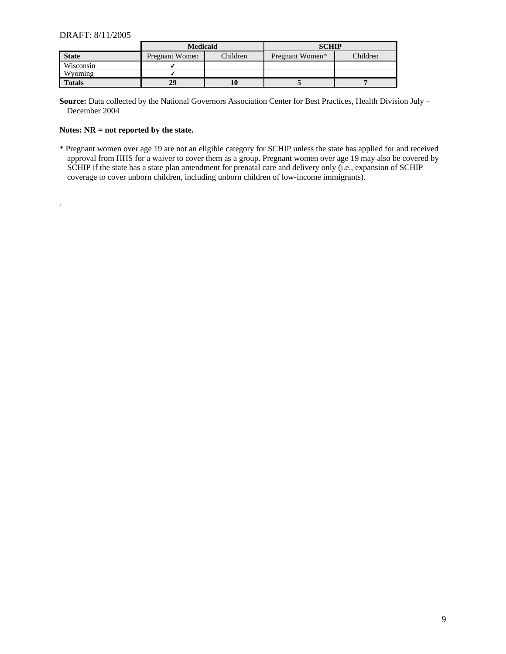.

|               | <b>Medicaid</b> |          | <b>SCHIP</b>    |          |
|---------------|-----------------|----------|-----------------|----------|
| <b>State</b>  | Pregnant Women  | Children | Pregnant Women* | Children |
| Wisconsin     |                 |          |                 |          |
| Wyoming       |                 |          |                 |          |
| <b>Totals</b> | 29              | 10       |                 |          |

**Source:** Data collected by the National Governors Association Center for Best Practices, Health Division July – December 2004

#### **Notes: NR = not reported by the state.**

\* Pregnant women over age 19 are not an eligible category for SCHIP unless the state has applied for and received approval from HHS for a waiver to cover them as a group. Pregnant women over age 19 may also be covered by SCHIP if the state has a state plan amendment for prenatal care and delivery only (i.e., expansion of SCHIP coverage to cover unborn children, including unborn children of low-income immigrants).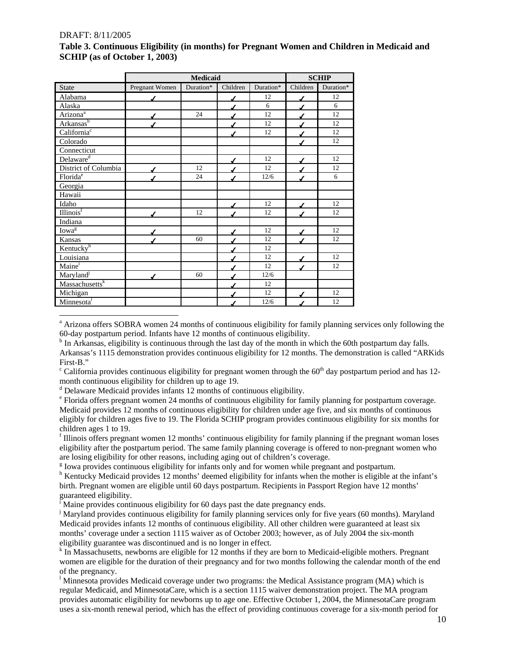|                                         |                | <b>Medicaid</b> |          | <b>SCHIP</b> |          |           |
|-----------------------------------------|----------------|-----------------|----------|--------------|----------|-----------|
| <b>State</b>                            | Pregnant Women | Duration*       | Children | Duration*    | Children | Duration* |
| Alabama                                 |                |                 |          | 12           |          | 12        |
| Alaska                                  |                |                 |          | 6            |          | 6         |
| Arizona <sup>a</sup>                    |                | 24              |          | 12           |          | 12        |
| Arkansas <sup>b</sup>                   |                |                 |          | 12           |          | 12        |
| California <sup>c</sup>                 |                |                 |          | 12           |          | 12        |
| Colorado                                |                |                 |          |              |          | 12        |
| Connecticut                             |                |                 |          |              |          |           |
| Delaware <sup>d</sup>                   |                |                 |          | 12           |          | 12        |
| District of Columbia                    |                | 12              |          | 12           |          | 12        |
| Florida <sup>e</sup>                    |                | 24              |          | 12/6         |          | 6         |
| Georgia                                 |                |                 |          |              |          |           |
| Hawaii                                  |                |                 |          |              |          |           |
| Idaho                                   |                |                 |          | 12           |          | 12        |
| $\overline{\text{Illinois}}^{\text{f}}$ |                | 12              |          | 12           |          | 12        |
| Indiana                                 |                |                 |          |              |          |           |
| Iowa <sup>g</sup>                       |                |                 |          | 12           |          | 12        |
| Kansas                                  |                | 60              |          | 12           |          | 12        |
| Kentucky <sup>h</sup>                   |                |                 |          | 12           |          |           |
| Louisiana                               |                |                 |          | 12           |          | 12        |
| Maine <sup>i</sup>                      |                |                 |          | 12           |          | 12        |
| Maryland                                |                | 60              |          | 12/6         |          |           |
| Massachusetts <sup>k</sup>              |                |                 |          | 12           |          |           |
| Michigan                                |                |                 |          | 12           |          | 12        |
| Minnesota                               |                |                 |          | 12/6         |          | 12        |

## **Table 3. Continuous Eligibility (in months) for Pregnant Women and Children in Medicaid and SCHIP (as of October 1, 2003)**

<span id="page-9-1"></span><sup>b</sup> In Arkansas, eligibility is continuous through the last day of the month in which the 60th postpartum day falls.

- <span id="page-9-2"></span><sup>c</sup> California provides continuous eligibility for pregnant women through the  $60<sup>th</sup>$  day postpartum period and has 12month continuous eligibility for children up to age 19.
- <span id="page-9-3"></span><sup>d</sup> Delaware Medicaid provides infants 12 months of continuous eligibility.

<span id="page-9-5"></span><sup>f</sup> Illinois offers pregnant women 12 months' continuous eligibility for family planning if the pregnant woman loses eligibility after the postpartum period. The same family planning coverage is offered to non-pregnant women who are losing eligibility for other reasons, including aging out of children's coverage.

<span id="page-9-6"></span><sup>g</sup> Iowa provides continuous eligibility for infants only and for women while pregnant and postpartum.

<span id="page-9-7"></span><sup>h</sup> Kentucky Medicaid provides 12 months' deemed eligibility for infants when the mother is eligible at the infant's birth. Pregnant women are eligible until 60 days postpartum. Recipients in Passport Region have 12 months' guaranteed eligibility.

<span id="page-9-8"></span><sup>I</sup> Maine provides continuous eligibility for 60 days past the date pregnancy ends.

<span id="page-9-9"></span>j Maryland provides continuous eligibility for family planning services only for five years (60 months). Maryland Medicaid provides infants 12 months of continuous eligibility. All other children were guaranteed at least six months' coverage under a section 1115 waiver as of October 2003; however, as of July 2004 the six-month eligibility guarantee was discontinued and is no longer in effect.

<span id="page-9-10"></span><sup>k</sup> In Massachusetts, newborns are eligible for 12 months if they are born to Medicaid-eligible mothers. Pregnant women are eligible for the duration of their pregnancy and for two months following the calendar month of the end of the pregnancy.

<span id="page-9-11"></span><sup>1</sup> Minnesota provides Medicaid coverage under two programs: the Medical Assistance program (MA) which is regular Medicaid, and MinnesotaCare, which is a section 1115 waiver demonstration project. The MA program provides automatic eligibility for newborns up to age one. Effective October 1, 2004, the MinnesotaCare program uses a six-month renewal period, which has the effect of providing continuous coverage for a six-month period for

<span id="page-9-0"></span>l <sup>a</sup> Arizona offers SOBRA women 24 months of continuous eligibility for family planning services only following the 60-day postpartum period. Infants have 12 months of continuous eligibility.

Arkansas's 1115 demonstration provides continuous eligibility for 12 months. The demonstration is called "ARKids First-B."

<span id="page-9-4"></span>Florida offers pregnant women 24 months of continuous eligibility for family planning for postpartum coverage. Medicaid provides 12 months of continuous eligibility for children under age five, and six months of continuous eligibly for children ages five to 19. The Florida SCHIP program provides continuous eligibility for six months for children ages 1 to 19.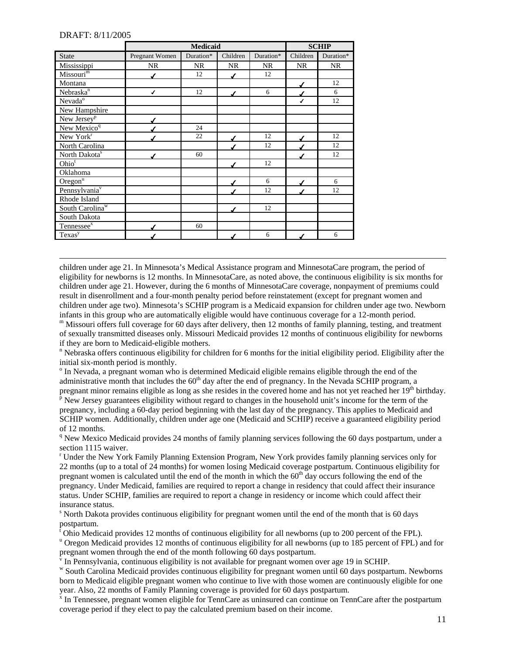l

|                             | <b>Medicaid</b> |           |           |           |           | <b>SCHIP</b> |
|-----------------------------|-----------------|-----------|-----------|-----------|-----------|--------------|
| <b>State</b>                | Pregnant Women  | Duration* | Children  | Duration* | Children  | Duration*    |
| Mississippi                 | <b>NR</b>       | <b>NR</b> | <b>NR</b> | <b>NR</b> | <b>NR</b> | <b>NR</b>    |
| Missouri <sup>m</sup>       |                 | 12        |           | 12        |           |              |
| Montana                     |                 |           |           |           |           | 12           |
| Nebraska <sup>n</sup>       | $\checkmark$    | 12        | ◢         | 6         |           | 6            |
| Nevada <sup>o</sup>         |                 |           |           |           | ✔         | 12           |
| New Hampshire               |                 |           |           |           |           |              |
| New Jersey <sup>p</sup>     |                 |           |           |           |           |              |
| New Mexico <sup>q</sup>     |                 | 24        |           |           |           |              |
| New York <sup>r</sup>       |                 | 22        |           | 12        |           | 12           |
| North Carolina              |                 |           |           | 12        |           | 12           |
| North Dakota <sup>s</sup>   |                 | 60        |           |           |           | 12           |
| Ohio <sup>t</sup>           |                 |           |           | 12        |           |              |
| Oklahoma                    |                 |           |           |           |           |              |
| $O$ regon $\overline{u}$    |                 |           |           | 6         |           | 6            |
| Pennsylvania <sup>v</sup>   |                 |           |           | 12        |           | 12           |
| Rhode Island                |                 |           |           |           |           |              |
| South Carolina <sup>w</sup> |                 |           |           | 12        |           |              |
| South Dakota                |                 |           |           |           |           |              |
| Tennessee <sup>x</sup>      |                 | 60        |           |           |           |              |
| Texas <sup>y</sup>          |                 |           |           | 6         |           | 6            |

children under age 21. In Minnesota's Medical Assistance program and MinnesotaCare program, the period of eligibility for newborns is 12 months. In MinnesotaCare, as noted above, the continuous eligibility is six months for children under age 21. However, during the 6 months of MinnesotaCare coverage, nonpayment of premiums could result in disenrollment and a four-month penalty period before reinstatement (except for pregnant women and children under age two). Minnesota's SCHIP program is a Medicaid expansion for children under age two. Newborn infants in this group who are automatically eligible would have continuous coverage for a 12-month period.

<span id="page-10-0"></span>m Missouri offers full coverage for 60 days after delivery, then 12 months of family planning, testing, and treatment of sexually transmitted diseases only. Missouri Medicaid provides 12 months of continuous eligibility for newborns if they are born to Medicaid-eligible mothers.

<span id="page-10-1"></span><sup>n</sup> Nebraska offers continuous eligibility for children for 6 months for the initial eligibility period. Eligibility after the initial six-month period is monthly.

<span id="page-10-2"></span><sup>o</sup> In Nevada, a pregnant woman who is determined Medicaid eligible remains eligible through the end of the administrative month that includes the  $60<sup>th</sup>$  day after the end of pregnancy. In the Nevada SCHIP program, a pregnant minor remains eligible as long as she resides in the covered home and has not yet reached her  $19<sup>th</sup>$  birthday.

<span id="page-10-3"></span> $\overline{P}$  New Jersey guarantees eligibility without regard to changes in the household unit's income for the term of the pregnancy, including a 60-day period beginning with the last day of the pregnancy. This applies to Medicaid and SCHIP women. Additionally, children under age one (Medicaid and SCHIP) receive a guaranteed eligibility period of 12 months.

<span id="page-10-4"></span><sup>q</sup> New Mexico Medicaid provides 24 months of family planning services following the 60 days postpartum, under a section 1115 waiver.

<span id="page-10-5"></span>r Under the New York Family Planning Extension Program, New York provides family planning services only for 22 months (up to a total of 24 months) for women losing Medicaid coverage postpartum. Continuous eligibility for pregnant women is calculated until the end of the month in which the  $60<sup>th</sup>$  day occurs following the end of the pregnancy. Under Medicaid, families are required to report a change in residency that could affect their insurance status. Under SCHIP, families are required to report a change in residency or income which could affect their insurance status.

<span id="page-10-12"></span><span id="page-10-6"></span>s North Dakota provides continuous eligibility for pregnant women until the end of the month that is 60 days postpartum.

<span id="page-10-7"></span><sup>t</sup> Ohio Medicaid provides 12 months of continuous eligibility for all newborns (up to 200 percent of the FPL).

<span id="page-10-8"></span><sup>u</sup> Oregon Medicaid provides 12 months of continuous eligibility for all newborns (up to 185 percent of FPL) and for pregnant women through the end of the month following 60 days postpartum.

<span id="page-10-9"></span> $\overline{v}$  In Pennsylvania, continuous eligibility is not available for pregnant women over age 19 in SCHIP.

<span id="page-10-10"></span>w South Carolina Medicaid provides continuous eligibility for pregnant women until 60 days postpartum. Newborns born to Medicaid eligible pregnant women who continue to live with those women are continuously eligible for one year. Also, 22 months of Family Planning coverage is provided for 60 days postpartum.

<span id="page-10-11"></span><sup>x</sup> In Tennessee, pregnant women eligible for TennCare as uninsured can continue on TennCare after the postpartum coverage period if they elect to pay the calculated premium based on their income.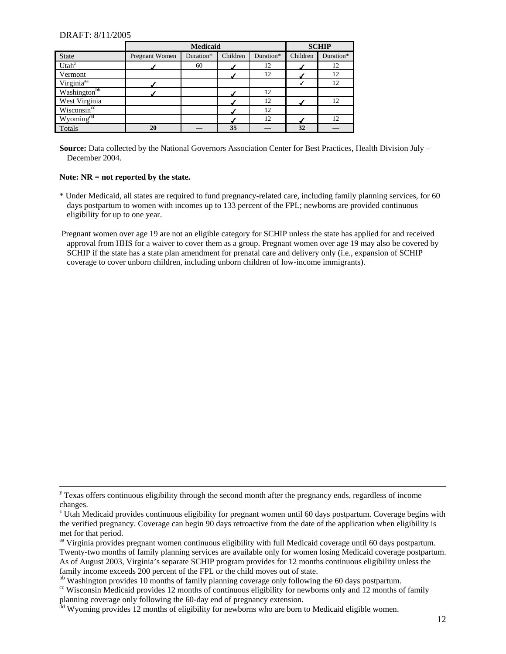l

|                          | <b>Medicaid</b> |           |          |           |          | <b>SCHIP</b> |
|--------------------------|-----------------|-----------|----------|-----------|----------|--------------|
| <b>State</b>             | Pregnant Women  | Duration* | Children | Duration* | Children | Duration*    |
| Utah <sup>z</sup>        |                 | 60        |          | 12        |          | 12           |
| Vermont                  |                 |           |          | 12        |          | 12           |
| Virginia <sup>aa</sup>   |                 |           |          |           |          | 12           |
| Washington <sup>bb</sup> |                 |           |          | 12        |          |              |
| West Virginia            |                 |           |          | 12        |          | 12           |
| Wisconsincc              |                 |           |          | 12        |          |              |
| Wyoming <sup>dd</sup>    |                 |           |          | 12        |          | 12           |
| Totals                   | 20              |           | 35       |           | 32       |              |

**Source:** Data collected by the National Governors Association Center for Best Practices, Health Division July – December 2004.

#### **Note: NR = not reported by the state.**

- \* Under Medicaid, all states are required to fund pregnancy-related care, including family planning services, for 60 days postpartum to women with incomes up to 133 percent of the FPL; newborns are provided continuous eligibility for up to one year.
- Pregnant women over age 19 are not an eligible category for SCHIP unless the state has applied for and received approval from HHS for a waiver to cover them as a group. Pregnant women over age 19 may also be covered by SCHIP if the state has a state plan amendment for prenatal care and delivery only (i.e., expansion of SCHIP coverage to cover unborn children, including unborn children of low-income immigrants).

<sup>&</sup>lt;sup>y</sup> Texas offers continuous eligibility through the second month after the pregnancy ends, regardless of income changes.

<span id="page-11-0"></span><sup>&</sup>lt;sup>z</sup> Utah Medicaid provides continuous eligibility for pregnant women until 60 days postpartum. Coverage begins with the verified pregnancy. Coverage can begin 90 days retroactive from the date of the application when eligibility is met for that period.

<span id="page-11-1"></span><sup>&</sup>lt;sup>aa</sup> Virginia provides pregnant women continuous eligibility with full Medicaid coverage until 60 days postpartum. Twenty-two months of family planning services are available only for women losing Medicaid coverage postpartum. As of August 2003, Virginia's separate SCHIP program provides for 12 months continuous eligibility unless the family income exceeds 200 percent of the FPL or the child moves out of state.<br><sup>bb</sup> Washington provides 10 months of family planning coverage only following the 60 days postpartum.

<span id="page-11-2"></span>

<span id="page-11-3"></span><sup>&</sup>lt;sup>cc</sup> Wisconsin Medicaid provides 12 months of continuous eligibility for newborns only and 12 months of family planning coverage only following the 60-day end of pregnancy extension.

<span id="page-11-4"></span><sup>&</sup>lt;sup>dd</sup> Wyoming provides 12 months of eligibility for newborns who are born to Medicaid eligible women.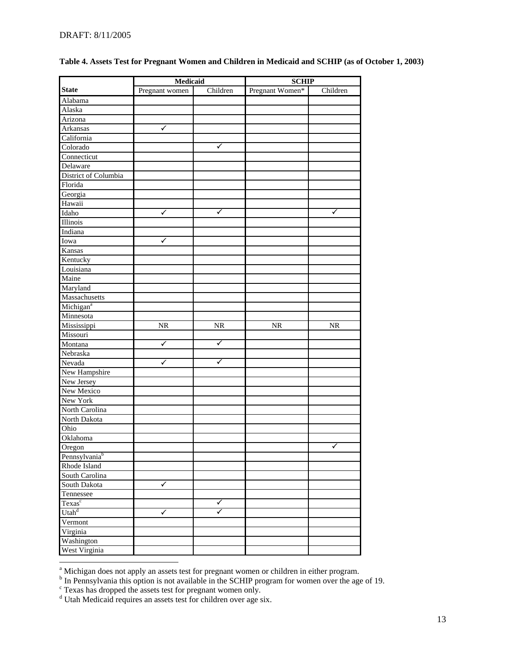|                           | Medicaid       |           | <b>SCHIP</b>    |           |  |
|---------------------------|----------------|-----------|-----------------|-----------|--|
| <b>State</b>              | Pregnant women | Children  | Pregnant Women* | Children  |  |
| Alabama                   |                |           |                 |           |  |
| Alaska                    |                |           |                 |           |  |
| Arizona                   |                |           |                 |           |  |
| Arkansas                  | ✓              |           |                 |           |  |
| California                |                |           |                 |           |  |
| Colorado                  |                | ✓         |                 |           |  |
| Connecticut               |                |           |                 |           |  |
| Delaware                  |                |           |                 |           |  |
| District of Columbia      |                |           |                 |           |  |
| Florida                   |                |           |                 |           |  |
| Georgia                   |                |           |                 |           |  |
| Hawaii                    |                |           |                 |           |  |
| Idaho                     | ✓              | ✓         |                 | ✓         |  |
| <b>Illinois</b>           |                |           |                 |           |  |
|                           |                |           |                 |           |  |
| Indiana                   |                |           |                 |           |  |
| Iowa                      | ✓              |           |                 |           |  |
| Kansas                    |                |           |                 |           |  |
| Kentucky                  |                |           |                 |           |  |
| Louisiana                 |                |           |                 |           |  |
| Maine                     |                |           |                 |           |  |
| Maryland                  |                |           |                 |           |  |
| Massachusetts             |                |           |                 |           |  |
| Michigan <sup>a</sup>     |                |           |                 |           |  |
| Minnesota                 |                |           |                 |           |  |
| Mississippi               | <b>NR</b>      | <b>NR</b> | <b>NR</b>       | <b>NR</b> |  |
| Missouri                  |                |           |                 |           |  |
| Montana                   | ✓              | ✓         |                 |           |  |
| Nebraska                  |                |           |                 |           |  |
| Nevada                    | ✓              | ✓         |                 |           |  |
| New Hampshire             |                |           |                 |           |  |
| New Jersey                |                |           |                 |           |  |
| New Mexico                |                |           |                 |           |  |
| New York                  |                |           |                 |           |  |
| North Carolina            |                |           |                 |           |  |
| North Dakota              |                |           |                 |           |  |
| Ohio                      |                |           |                 |           |  |
| Oklahoma                  |                |           |                 |           |  |
| Oregon                    |                |           |                 | ✔         |  |
| Pennsylvania <sup>b</sup> |                |           |                 |           |  |
| Rhode Island              |                |           |                 |           |  |
| South Carolina            |                |           |                 |           |  |
| South Dakota              | $\checkmark$   |           |                 |           |  |
| Tennessee                 |                |           |                 |           |  |
| Texas <sup>c</sup>        |                | ✓         |                 |           |  |
| Utah <sup>d</sup>         | ✓              | ✓         |                 |           |  |
| Vermont                   |                |           |                 |           |  |
| Virginia                  |                |           |                 |           |  |
| Washington                |                |           |                 |           |  |
|                           |                |           |                 |           |  |
| West Virginia             |                |           |                 |           |  |

### **Table 4. Assets Test for Pregnant Women and Children in Medicaid and SCHIP (as of October 1, 2003)**

<span id="page-12-1"></span><span id="page-12-0"></span>

<sup>&</sup>lt;sup>a</sup> Michigan does not apply an assets test for pregnant women or children in either program.<br><sup>b</sup> In Pennsylvania this option is not available in the SCHIP program for women over the age of 19.

<span id="page-12-2"></span><sup>&</sup>lt;sup>c</sup> Texas has dropped the assets test for pregnant women only.

<span id="page-12-3"></span>d Utah Medicaid requires an assets test for children over age six.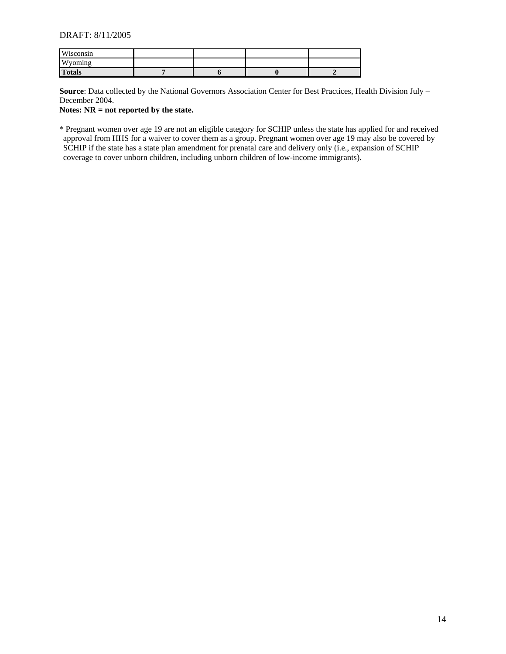| Wisconsin            |  |  |
|----------------------|--|--|
| <b>XX</b><br>'voming |  |  |
| <b>Totals</b>        |  |  |

**Source**: Data collected by the National Governors Association Center for Best Practices, Health Division July – December 2004.

**Notes: NR = not reported by the state.** 

\* Pregnant women over age 19 are not an eligible category for SCHIP unless the state has applied for and received approval from HHS for a waiver to cover them as a group. Pregnant women over age 19 may also be covered by SCHIP if the state has a state plan amendment for prenatal care and delivery only (i.e., expansion of SCHIP coverage to cover unborn children, including unborn children of low-income immigrants).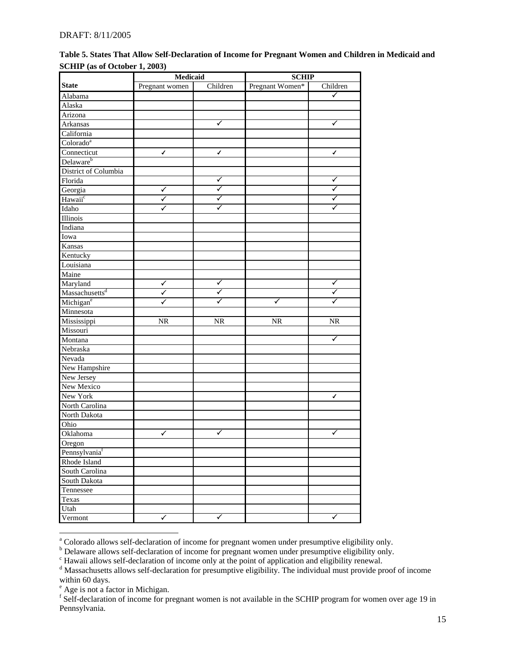|                               | Medicaid       |                      | <b>SCHIP</b>    |                        |
|-------------------------------|----------------|----------------------|-----------------|------------------------|
| <b>State</b>                  | Pregnant women | Children             | Pregnant Women* | Children               |
| Alabama                       |                |                      |                 | $\checkmark$           |
| Alaska                        |                |                      |                 |                        |
| Arizona                       |                |                      |                 |                        |
| Arkansas                      |                | ✓                    |                 | ✓                      |
| California                    |                |                      |                 |                        |
| Colorado <sup>a</sup>         |                |                      |                 |                        |
| Connecticut                   | ✓              | ✓                    |                 | ✔                      |
| Delaware <sup>b</sup>         |                |                      |                 |                        |
| District of Columbia          |                |                      |                 |                        |
| Florida                       |                | $\checkmark$         |                 | $\checkmark$           |
| Georgia                       | ✓              | $\blacktriangledown$ |                 | ✓                      |
| Hawaii <sup>c</sup>           | $\checkmark$   | ✓                    |                 | ✓                      |
| Idaho                         | ✓              | ✓                    |                 | ✓                      |
| <b>Illinois</b>               |                |                      |                 |                        |
| Indiana                       |                |                      |                 |                        |
| Iowa                          |                |                      |                 |                        |
| Kansas                        |                |                      |                 |                        |
| Kentucky                      |                |                      |                 |                        |
| Louisiana                     |                |                      |                 |                        |
| Maine                         |                |                      |                 |                        |
| Maryland                      | ✓              | ✓                    |                 | ✓                      |
| $M$ assachusetts <sup>d</sup> | $\checkmark$   | ✓                    |                 | ✓                      |
| Michigan <sup>e</sup>         | ✓              | ✓                    | ✓               | ✓                      |
| Minnesota                     |                |                      |                 |                        |
| Mississippi                   | <b>NR</b>      | <b>NR</b>            | <b>NR</b>       | $\overline{\text{NR}}$ |
| Missouri                      |                |                      |                 |                        |
| Montana                       |                |                      |                 | $\blacktriangledown$   |
| Nebraska                      |                |                      |                 |                        |
| Nevada                        |                |                      |                 |                        |
| New Hampshire                 |                |                      |                 |                        |
| New Jersey                    |                |                      |                 |                        |
| New Mexico                    |                |                      |                 |                        |
| New York                      |                |                      |                 | $\checkmark$           |
| North Carolina                |                |                      |                 |                        |
| North Dakota                  |                |                      |                 |                        |
| Ohio                          |                |                      |                 |                        |
| Oklahoma                      | ✓              | ✓                    |                 | ✓                      |
| Oregon                        |                |                      |                 |                        |
| Pennsylvaniaf                 |                |                      |                 |                        |
| Rhode Island                  |                |                      |                 |                        |
| South Carolina                |                |                      |                 |                        |
| South Dakota                  |                |                      |                 |                        |
| Tennessee                     |                |                      |                 |                        |
|                               |                |                      |                 |                        |
| Texas                         |                |                      |                 |                        |
| Utah                          | $\checkmark$   | $\checkmark$         |                 | $\blacktriangledown$   |
| Vermont                       |                |                      |                 |                        |

**Table 5. States That Allow Self-Declaration of Income for Pregnant Women and Children in Medicaid and SCHIP (as of October 1, 2003)** 

<span id="page-14-0"></span>a<br>a Colorado allows self-declaration of income for pregnant women under presumptive eligibility only.

<span id="page-14-1"></span><sup>&</sup>lt;sup>b</sup> Delaware allows self-declaration of income for pregnant women under presumptive eligibility only.

<span id="page-14-2"></span><sup>&</sup>lt;sup>c</sup> Hawaii allows self-declaration of income only at the point of application and eligibility renewal.

<span id="page-14-3"></span><sup>&</sup>lt;sup>d</sup> Massachusetts allows self-declaration for presumptive eligibility. The individual must provide proof of income within 60 days.

<span id="page-14-4"></span>e Age is not a factor in Michigan.

<span id="page-14-5"></span><sup>&</sup>lt;sup>f</sup> Self-declaration of income for pregnant women is not available in the SCHIP program for women over age 19 in Pennsylvania.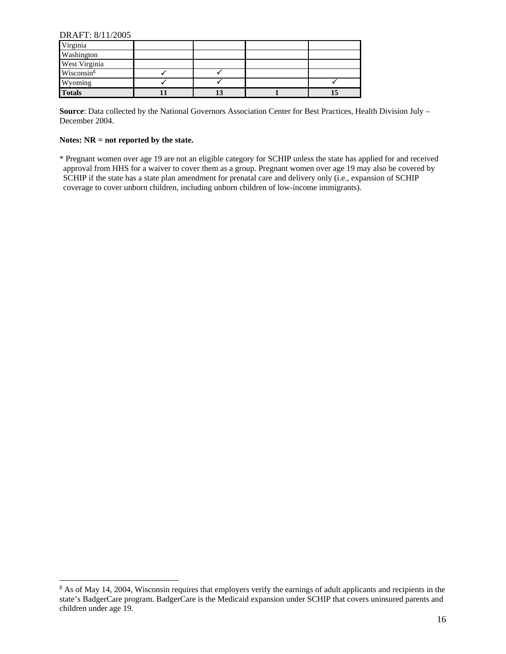| Virginia      |    |  |
|---------------|----|--|
| Washington    |    |  |
| West Virginia |    |  |
| Wisconsing    |    |  |
| Wyoming       |    |  |
| <b>Totals</b> | 13 |  |

**Source**: Data collected by the National Governors Association Center for Best Practices, Health Division July – December 2004.

#### **Notes: NR = not reported by the state.**

\* Pregnant women over age 19 are not an eligible category for SCHIP unless the state has applied for and received approval from HHS for a waiver to cover them as a group. Pregnant women over age 19 may also be covered by SCHIP if the state has a state plan amendment for prenatal care and delivery only (i.e., expansion of SCHIP coverage to cover unborn children, including unborn children of low-income immigrants).

<span id="page-15-0"></span><sup>&</sup>lt;sup>g</sup> As of May 14, 2004, Wisconsin requires that employers verify the earnings of adult applicants and recipients in the state's BadgerCare program. BadgerCare is the Medicaid expansion under SCHIP that covers uninsured parents and children under age 19.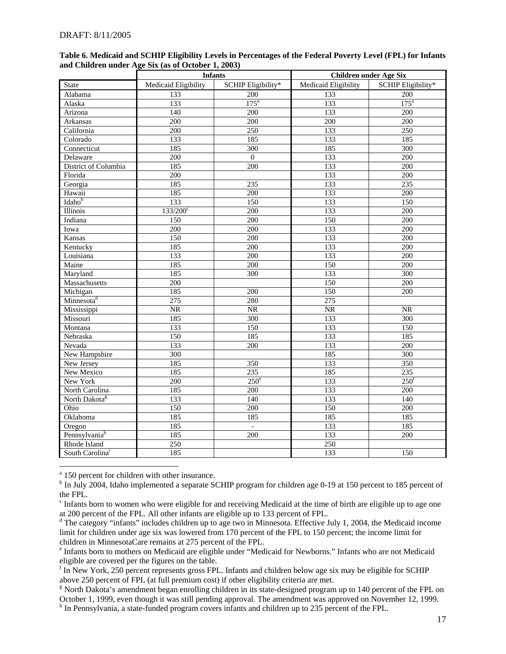|                             | <b>Infants</b>       |                    | <b>Children under Age Six</b> |                    |
|-----------------------------|----------------------|--------------------|-------------------------------|--------------------|
| State                       | Medicaid Eligibility | SCHIP Eligibility* | Medicaid Eligibility          | SCHIP Eligibility* |
| Alabama                     | 133                  | 200                | 133                           | 200                |
| Alaska                      | 133                  | 175 <sup>a</sup>   | 133                           | 175 <sup>a</sup>   |
| Arizona                     | $\overline{140}$     | 200                | 133                           | 200                |
| Arkansas                    | 200                  | 200                | 200                           | $\overline{200}$   |
| California                  | 200                  | $\overline{250}$   | 133                           | 250                |
| Colorado                    | 133                  | 185                | 133                           | 185                |
| Connecticut                 | 185                  | 300                | 185                           | 300                |
| Delaware                    | 200                  | $\overline{0}$     | 133                           | 200                |
| District of Columbia        | 185                  | 200                | 133                           | 200                |
| Florida                     | 200                  |                    | 133                           | 200                |
| Georgia                     | 185                  | $\overline{235}$   | $\overline{133}$              | 235                |
| Hawaii                      | 185                  | 200                | 133                           | $\overline{200}$   |
| Idaho <sup>b</sup>          | 133                  | 150                | 133                           | 150                |
| Illinois                    | $133/200^{\circ}$    | 200                | 133                           | 200                |
| Indiana                     | 150                  | 200                | 150                           | 200                |
| Iowa                        | 200                  | 200                | 133                           | 200                |
| Kansas                      | 150                  | 200                | 133                           | 200                |
| Kentucky                    | 185                  | 200                | 133                           | 200                |
| Louisiana                   | 133                  | 200                | 133                           | 200                |
| Maine                       | 185                  | 200                | 150                           | 200                |
| Maryland                    | 185                  | 300                | 133                           | 300                |
| Massachusetts               | 200                  |                    | $\overline{150}$              | $\overline{200}$   |
| Michigan                    | 185                  | 200                | 150                           | $\overline{200}$   |
| Minnesota <sup>d</sup>      | $\overline{275}$     | 280                | 275                           |                    |
| Mississippi                 | NR                   | NR                 | $\overline{\text{NR}}$        | NR                 |
| Missouri                    | 185                  | 300                | 133                           | 300                |
| Montana                     | 133                  | 150                | 133                           | 150                |
| Nebraska                    | 150                  | 185                | 133                           | 185                |
| Nevada                      | 133                  | 200                | 133                           | $\overline{200}$   |
| New Hampshire               | $\overline{300}$     |                    | 185                           | 300                |
| New Jersey                  | 185                  | 350                | 133                           | 350                |
| New Mexico                  | 185                  | 235                | 185                           | 235                |
| New York                    | 200                  | $250^e$            | 133                           | 250 <sup>f</sup>   |
| North Carolina              | 185                  | 200                | 133                           | $\overline{200}$   |
| North Dakota <sup>g</sup>   | 133                  | 140                | 133                           | 140                |
| Ohio                        | 150                  | 200                | $\overline{150}$              | 200                |
| Oklahoma                    | 185                  | 185                | 185                           | 185                |
| Oregon                      | 185                  | $\overline{a}$     | 133                           | 185                |
| Pennsylvania <sup>h</sup>   | 185                  | 200                | 133                           | $\overline{200}$   |
| Rhode Island                | 250                  |                    | 250                           |                    |
| South Carolina <sup>i</sup> | 185                  |                    | 133                           | 150                |

#### **Table 6. Medicaid and SCHIP Eligibility Levels in Percentages of the Federal Poverty Level (FPL) for Infants and Children under Age Six (as of October 1, 2003)**

<span id="page-16-0"></span><sup>a</sup> 150 percent for children with other insurance.

<span id="page-16-1"></span><sup>b</sup> In July 2004, Idaho implemented a separate SCHIP program for children age 0-19 at 150 percent to 185 percent of the FPL.

<span id="page-16-2"></span><sup>c</sup> Infants born to women who were eligible for and receiving Medicaid at the time of birth are eligible up to age one at 200 percent of the FPL. All other infants are eligible up to 133 percent of FPL.

<span id="page-16-3"></span><sup>d</sup> The category "infants" includes children up to age two in Minnesota. Effective July 1, 2004, the Medicaid income limit for children under age six was lowered from 170 percent of the FPL to 150 percent; the income limit for children in MinnesotaCare remains at 275 percent of the FPL.

<span id="page-16-4"></span><sup>e</sup> Infants born to mothers on Medicaid are eligible under "Medicaid for Newborns." Infants who are not Medicaid eligible are covered per the figures on the table.

<span id="page-16-8"></span><span id="page-16-5"></span><sup>f</sup> In New York, 250 percent represents gross FPL. Infants and children below age six may be eligible for SCHIP above 250 percent of FPL (at full premium cost) if other eligibility criteria are met.

<span id="page-16-7"></span><span id="page-16-6"></span><sup>g</sup> North Dakota's amendment began enrolling children in its state-designed program up to 140 percent of the FPL on October 1, 1999, even though it was still pending approval. The amendment was approved on November 12, 1999. <sup>h</sup> In Pennsylvania, a state-funded program covers infants and children up to 235 percent of the FPL.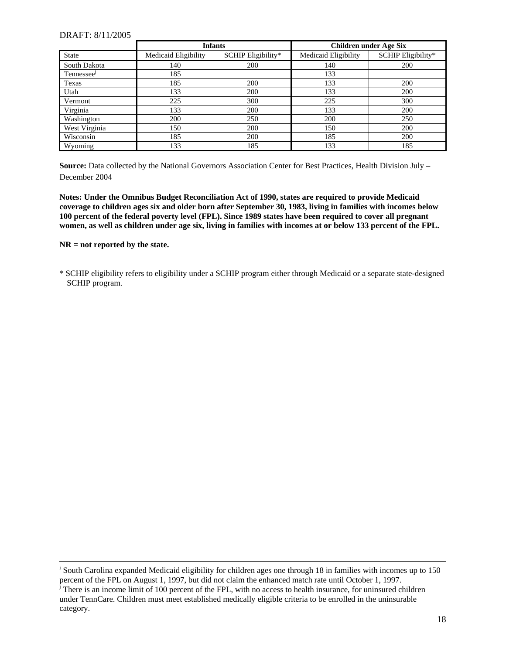|               | <b>Infants</b>       |                    | <b>Children under Age Six</b> |                    |
|---------------|----------------------|--------------------|-------------------------------|--------------------|
| State         | Medicaid Eligibility | SCHIP Eligibility* | Medicaid Eligibility          | SCHIP Eligibility* |
| South Dakota  | 140                  | 200                | 140                           | 200                |
| Tennessee     | 185                  |                    | 133                           |                    |
| Texas         | 185                  | 200                | 133                           | 200                |
| Utah          | 133                  | 200                | 133                           | 200                |
| Vermont       | 225                  | 300                | 225                           | 300                |
| Virginia      | 133                  | 200                | 133                           | 200                |
| Washington    | 200                  | 250                | 200                           | 250                |
| West Virginia | 150                  | 200                | 150                           | 200                |
| Wisconsin     | 185                  | 200                | 185                           | 200                |
| Wyoming       | 133                  | 185                | 133                           | 185                |

**Source:** Data collected by the National Governors Association Center for Best Practices, Health Division July – December 2004

**Notes: Under the Omnibus Budget Reconciliation Act of 1990, states are required to provide Medicaid coverage to children ages six and older born after September 30, 1983, living in families with incomes below 100 percent of the federal poverty level (FPL). Since 1989 states have been required to cover all pregnant women, as well as children under age six, living in families with incomes at or below 133 percent of the FPL.** 

#### **NR = not reported by the state.**

l

\* SCHIP eligibility refers to eligibility under a SCHIP program either through Medicaid or a separate state-designed SCHIP program.

<sup>&</sup>lt;sup>i</sup> South Carolina expanded Medicaid eligibility for children ages one through 18 in families with incomes up to 150 percent of the FPL on August 1, 1997, but did not claim the enhanced match rate until October 1, 1997.<br><sup>j</sup> There is an income limit of 100 percent of the FPL, with no access to health insurance, for uninsured children

<span id="page-17-0"></span>under TennCare. Children must meet established medically eligible criteria to be enrolled in the uninsurable category.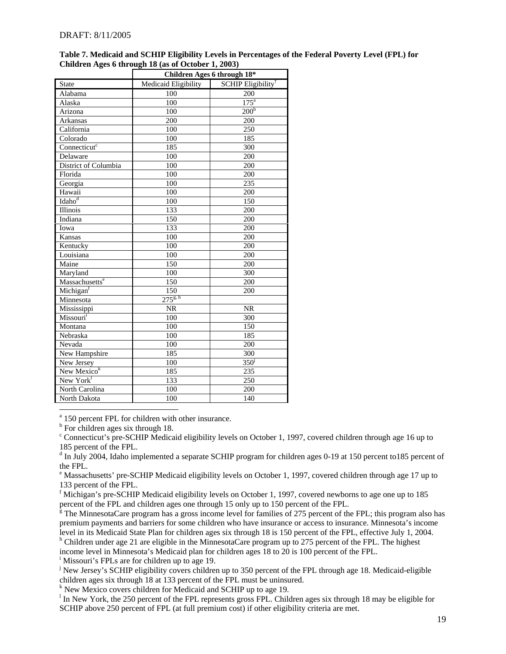|                            | Children Ages 6 through 18* |                                |
|----------------------------|-----------------------------|--------------------------------|
| State                      | Medicaid Eligibility        | SCHIP Eligibility <sup>†</sup> |
| Alabama                    | 100                         | 200                            |
| Alaska                     | 100                         | $175^{\circ}$                  |
| Arizona                    | 100                         | 200 <sup>b</sup>               |
| <b>Arkansas</b>            | 200                         | 200                            |
| California                 | 100                         | 250                            |
| Colorado                   | 100                         | 185                            |
| Connecticut <sup>c</sup>   | 185                         | 300                            |
| Delaware                   | 100                         | 200                            |
| District of Columbia       | 100                         | 200                            |
| Florida                    | 100                         | 200                            |
| Georgia                    | 100                         | 235                            |
| Hawaii                     | 100                         | 200                            |
| Idaho <sup>d</sup>         | 100                         | 150                            |
| Illinois                   | 133                         | 200                            |
| Indiana                    | 150                         | 200                            |
| Iowa                       | 133                         | 200                            |
| Kansas                     | 100                         | 200                            |
| Kentucky                   | 100                         | 200                            |
| Louisiana                  | 100                         | 200                            |
| Maine                      | 150                         | 200                            |
| Maryland                   | 100                         | 300                            |
| Massachusetts <sup>e</sup> | 150                         | 200                            |
| Michigant                  | 150                         | 200                            |
| Minnesota                  | $275^{g, h}$                |                                |
| Mississippi                | <b>NR</b>                   | <b>NR</b>                      |
| Missouri <sup>1</sup>      | 100                         | 300                            |
| Montana                    | 100                         | 150                            |
| Nebraska                   | 100                         | 185                            |
| Nevada                     | 100                         | 200                            |
| New Hampshire              | 185                         | 300                            |
| New Jersey                 | 100                         | 350 <sup>j</sup>               |
| New Mexico <sup>k</sup>    | 185                         | 235                            |
| New York <sup>1</sup>      | 133                         | 250                            |
| North Carolina             | 100                         | 200                            |
| North Dakota               | 100                         | 140                            |

#### **Table 7. Medicaid and SCHIP Eligibility Levels in Percentages of the Federal Poverty Level (FPL) for Children Ages 6 through 18 (as of October 1, 2003)**

<span id="page-18-0"></span><sup>a</sup> 150 percent FPL for children with other insurance.

<span id="page-18-1"></span><sup>b</sup> For children ages six through 18.

<span id="page-18-2"></span><sup>c</sup> Connecticut's pre-SCHIP Medicaid eligibility levels on October 1, 1997, covered children through age 16 up to 185 percent of the FPL.

<span id="page-18-3"></span><sup>d</sup> In July 2004, Idaho implemented a separate SCHIP program for children ages 0-19 at 150 percent to185 percent of the FPL.

<span id="page-18-4"></span><sup>e</sup> Massachusetts' pre-SCHIP Medicaid eligibility levels on October 1, 1997, covered children through age 17 up to 133 percent of the FPL.

<span id="page-18-5"></span><sup>f</sup> Michigan's pre-SCHIP Medicaid eligibility levels on October 1, 1997, covered newborns to age one up to 185 percent of the FPL and children ages one through 15 only up to 150 percent of the FPL.

<span id="page-18-6"></span> $\frac{g}{g}$  The MinnesotaCare program has a gross income level for families of 275 percent of the FPL; this program also has premium payments and barriers for some children who have insurance or access to insurance. Minnesota's income level in its Medicaid State Plan for children ages six through 18 is 150 percent of the FPL, effective July 1, 2004.

<span id="page-18-7"></span><sup>h</sup> Children under age 21 are eligible in the MinnesotaCare program up to 275 percent of the FPL. The highest income level in Minnesota's Medicaid plan for children ages 18 to 20 is 100 percent of the FPL.

<span id="page-18-8"></span><sup>i</sup> Missouri's FPLs are for children up to age 19.

<span id="page-18-9"></span><sup>j</sup> New Jersey's SCHIP eligibility covers children up to 350 percent of the FPL through age 18. Medicaid-eligible children ages six through 18 at 133 percent of the FPL must be uninsured. k New Mexico covers children for Medicaid and SCHIP up to age 19.

<span id="page-18-10"></span>

<span id="page-18-11"></span><sup>1</sup> In New York, the 250 percent of the FPL represents gross FPL. Children ages six through 18 may be eligible for SCHIP above 250 percent of FPL (at full premium cost) if other eligibility criteria are met.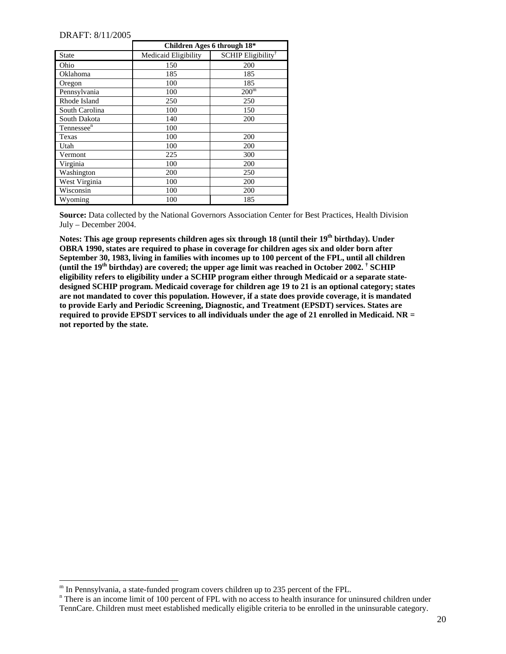l

|                        | Children Ages 6 through 18* |                                |  |
|------------------------|-----------------------------|--------------------------------|--|
| <b>State</b>           | Medicaid Eligibility        | SCHIP Eligibility <sup>†</sup> |  |
| Ohio                   | 150                         | 200                            |  |
| Oklahoma               | 185                         | 185                            |  |
| Oregon                 | 100                         | 185                            |  |
| Pennsylvania           | 100                         | 200 <sup>m</sup>               |  |
| Rhode Island           | 250                         | 250                            |  |
| South Carolina         | 100                         | 150                            |  |
| South Dakota           | 140                         | 200                            |  |
| Tennessee <sup>n</sup> | 100                         |                                |  |
| Texas                  | 100                         | 200                            |  |
| Utah                   | 100                         | 200                            |  |
| Vermont                | 225                         | 300                            |  |
| Virginia               | 100                         | 200                            |  |
| Washington             | 200                         | 250                            |  |
| West Virginia          | 100                         | 200                            |  |
| Wisconsin              | 100                         | 200                            |  |
| Wyoming                | 100                         | 185                            |  |

**Source:** Data collected by the National Governors Association Center for Best Practices, Health Division July – December 2004.

Notes: This age group represents children ages six through 18 (until their 19<sup>th</sup> birthday). Under **OBRA 1990, states are required to phase in coverage for children ages six and older born after September 30, 1983, living in families with incomes up to 100 percent of the FPL, until all children**  (until the 19<sup>th</sup> birthday) are covered; the upper age limit was reached in October 2002. <sup>†</sup> SCHIP **eligibility refers to eligibility under a SCHIP program either through Medicaid or a separate statedesigned SCHIP program. Medicaid coverage for children age 19 to 21 is an optional category; states are not mandated to cover this population. However, if a state does provide coverage, it is mandated to provide Early and Periodic Screening, Diagnostic, and Treatment (EPSDT) services. States are required to provide EPSDT services to all individuals under the age of 21 enrolled in Medicaid. NR = not reported by the state.** 

<span id="page-19-0"></span>m In Pennsylvania, a state-funded program covers children up to 235 percent of the FPL.

<span id="page-19-1"></span><sup>&</sup>lt;sup>n</sup> There is an income limit of 100 percent of FPL with no access to health insurance for uninsured children under TennCare. Children must meet established medically eligible criteria to be enrolled in the uninsurable category.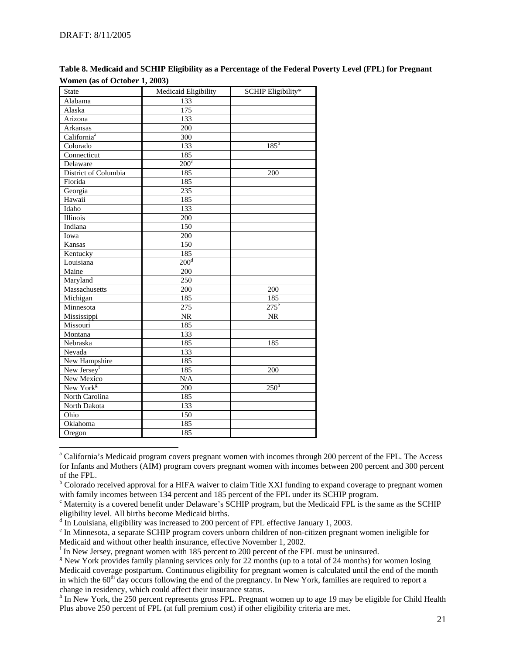l

| <b>State</b>            | Medicaid Eligibility   | <b>SCHIP Eligibility*</b> |
|-------------------------|------------------------|---------------------------|
| Alabama                 | 133                    |                           |
| Alaska                  | 175                    |                           |
| Arizona                 | 133                    |                           |
| Arkansas                | 200                    |                           |
| California <sup>a</sup> | 300                    |                           |
| Colorado                | 133                    | $185^{\rm b}$             |
| Connecticut             | 185                    |                           |
| Delaware                | $200^\circ$            |                           |
| District of Columbia    | 185                    | 200                       |
| Florida                 | 185                    |                           |
| Georgia                 | 235                    |                           |
| Hawaii                  | 185                    |                           |
| Idaho                   | 133                    |                           |
| Illinois                | 200                    |                           |
| Indiana                 | $\overline{150}$       |                           |
| Iowa                    | 200                    |                           |
| Kansas                  | 150                    |                           |
| Kentucky                | 185                    |                           |
| Louisiana               | 200 <sup>d</sup>       |                           |
| Maine                   | 200                    |                           |
| Maryland                | $\overline{250}$       |                           |
| Massachusetts           | 200                    | 200                       |
| Michigan                | 185                    | 185                       |
| Minnesota               | $\overline{275}$       | $275^{\circ}$             |
| Mississippi             | $\overline{\text{NR}}$ | $\overline{\text{NR}}$    |
| Missouri                | 185                    |                           |
| Montana                 | 133                    |                           |
| Nebraska                | 185                    | 185                       |
| Nevada                  | 133                    |                           |
| New Hampshire           | 185                    |                           |
| New Jersey <sup>f</sup> | 185                    | 200                       |
| New Mexico              | N/A                    |                           |
| New York <sup>g</sup>   | 200                    | $250^h$                   |
| North Carolina          | 185                    |                           |
| North Dakota            | 133                    |                           |
| Ohio                    | 150                    |                           |
| Oklahoma                | 185                    |                           |
| Oregon                  | 185                    |                           |

**Table 8. Medicaid and SCHIP Eligibility as a Percentage of the Federal Poverty Level (FPL) for Pregnant Women (as of October 1, 2003)** 

<span id="page-20-7"></span><sup>h</sup> In New York, the 250 percent represents gross FPL. Pregnant women up to age 19 may be eligible for Child Health Plus above 250 percent of FPL (at full premium cost) if other eligibility criteria are met.

<span id="page-20-0"></span><sup>&</sup>lt;sup>a</sup> California's Medicaid program covers pregnant women with incomes through 200 percent of the FPL. The Access for Infants and Mothers (AIM) program covers pregnant women with incomes between 200 percent and 300 percent of the FPL.

<span id="page-20-1"></span><sup>&</sup>lt;sup>b</sup> Colorado received approval for a HIFA waiver to claim Title XXI funding to expand coverage to pregnant women with family incomes between 134 percent and 185 percent of the FPL under its SCHIP program.

<span id="page-20-2"></span><sup>&</sup>lt;sup>c</sup> Maternity is a covered benefit under Delaware's SCHIP program, but the Medicaid FPL is the same as the SCHIP eligibility level. All births become Medicaid births.

<span id="page-20-3"></span> $\alpha$  In Louisiana, eligibility was increased to 200 percent of FPL effective January 1, 2003.

<span id="page-20-4"></span><sup>&</sup>lt;sup>e</sup> In Minnesota, a separate SCHIP program covers unborn children of non-citizen pregnant women ineligible for Medicaid and without other health insurance, effective November 1, 2002.

<span id="page-20-5"></span> $\rm{f}$  In New Jersey, pregnant women with 185 percent to 200 percent of the FPL must be uninsured.

<span id="page-20-6"></span><sup>&</sup>lt;sup>g</sup> New York provides family planning services only for 22 months (up to a total of 24 months) for women losing Medicaid coverage postpartum. Continuous eligibility for pregnant women is calculated until the end of the month in which the 60<sup>th</sup> day occurs following the end of the pregnancy. In New York, families are required to report a change in residency, which could affect their insurance status.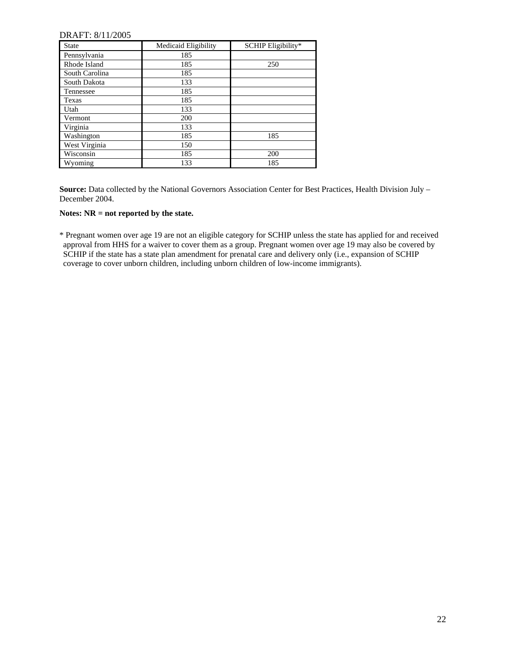| <b>State</b>   | Medicaid Eligibility | SCHIP Eligibility* |
|----------------|----------------------|--------------------|
| Pennsylvania   | 185                  |                    |
| Rhode Island   | 185                  | 250                |
| South Carolina | 185                  |                    |
| South Dakota   | 133                  |                    |
| Tennessee      | 185                  |                    |
| Texas          | 185                  |                    |
| Utah           | 133                  |                    |
| Vermont        | 200                  |                    |
| Virginia       | 133                  |                    |
| Washington     | 185                  | 185                |
| West Virginia  | 150                  |                    |
| Wisconsin      | 185                  | 200                |
| Wyoming        | 133                  | 185                |

**Source:** Data collected by the National Governors Association Center for Best Practices, Health Division July – December 2004.

#### **Notes: NR = not reported by the state.**

\* Pregnant women over age 19 are not an eligible category for SCHIP unless the state has applied for and received approval from HHS for a waiver to cover them as a group. Pregnant women over age 19 may also be covered by SCHIP if the state has a state plan amendment for prenatal care and delivery only (i.e., expansion of SCHIP coverage to cover unborn children, including unborn children of low-income immigrants).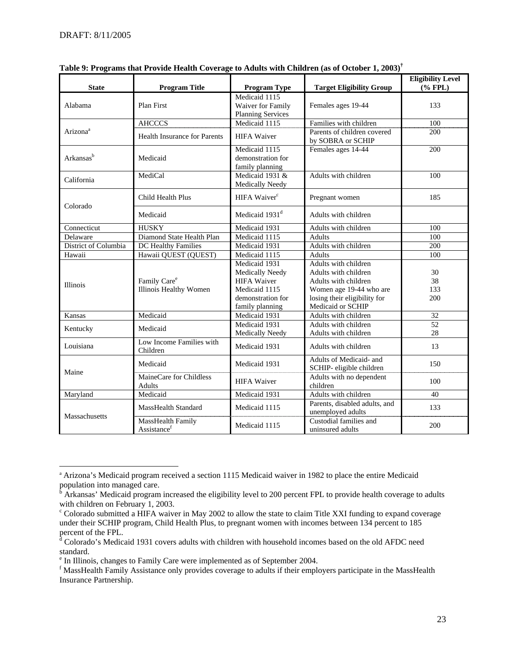l

| <b>State</b>          | <b>Program Title</b>                               | <b>Program Type</b>                                                                                             | <b>Target Eligibility Group</b>                                                                                                                      | <b>Eligibility Level</b><br>$(% \mathbf{P}(\mathbf{A})\rightarrow \mathbf{P}(\mathbf{A}))$ |
|-----------------------|----------------------------------------------------|-----------------------------------------------------------------------------------------------------------------|------------------------------------------------------------------------------------------------------------------------------------------------------|--------------------------------------------------------------------------------------------|
| Alabama               | Plan First                                         | Medicaid 1115<br>Waiver for Family<br><b>Planning Services</b>                                                  | Females ages 19-44                                                                                                                                   | 133                                                                                        |
|                       | <b>AHCCCS</b>                                      | Medicaid 1115                                                                                                   | Families with children                                                                                                                               | 100                                                                                        |
| Arizona <sup>a</sup>  | <b>Health Insurance for Parents</b>                | <b>HIFA Waiver</b>                                                                                              | Parents of children covered<br>by SOBRA or SCHIP                                                                                                     | 200                                                                                        |
| Arkansas <sup>b</sup> | Medicaid                                           | Medicaid 1115<br>demonstration for<br>family planning                                                           | Females ages 14-44                                                                                                                                   | 200                                                                                        |
| California            | MediCal                                            | Medicaid 1931 &<br>Medically Needy                                                                              | Adults with children                                                                                                                                 | 100                                                                                        |
| Colorado              | Child Health Plus                                  | HIFA Waiver <sup>c</sup>                                                                                        | Pregnant women                                                                                                                                       | 185                                                                                        |
|                       | Medicaid                                           | Medicaid 1931 <sup>d</sup>                                                                                      | Adults with children                                                                                                                                 |                                                                                            |
| Connecticut           | <b>HUSKY</b>                                       | Medicaid 1931                                                                                                   | Adults with children                                                                                                                                 | 100                                                                                        |
| Delaware              | Diamond State Health Plan                          | Medicaid 1115                                                                                                   | <b>Adults</b>                                                                                                                                        | 100                                                                                        |
| District of Columbia  | <b>DC</b> Healthy Families                         | Medicaid 1931                                                                                                   | Adults with children                                                                                                                                 | 200                                                                                        |
| Hawaii                | Hawaii QUEST (QUEST)                               | Medicaid 1115                                                                                                   | <b>Adults</b>                                                                                                                                        | 100                                                                                        |
| Illinois              | Family Care <sup>e</sup><br>Illinois Healthy Women | Medicaid 1931<br>Medically Needy<br><b>HIFA Waiver</b><br>Medicaid 1115<br>demonstration for<br>family planning | Adults with children<br>Adults with children<br>Adults with children<br>Women age 19-44 who are<br>losing their eligibility for<br>Medicaid or SCHIP | 30<br>38<br>133<br>200                                                                     |
| Kansas                | Medicaid                                           | Medicaid 1931                                                                                                   | Adults with children                                                                                                                                 | 32                                                                                         |
| Kentucky              | Medicaid                                           | Medicaid 1931<br><b>Medically Needy</b>                                                                         | Adults with children<br>Adults with children                                                                                                         | 52<br>28                                                                                   |
| Louisiana             | Low Income Families with<br>Children               | Medicaid 1931                                                                                                   | Adults with children                                                                                                                                 | 13                                                                                         |
| Maine                 | Medicaid                                           | Medicaid 1931                                                                                                   | Adults of Medicaid- and<br>SCHIP- eligible children                                                                                                  | 150                                                                                        |
|                       | MaineCare for Childless<br><b>Adults</b>           | <b>HIFA Waiver</b>                                                                                              | Adults with no dependent<br>children                                                                                                                 | 100                                                                                        |
| Maryland              | Medicaid                                           | Medicaid 1931                                                                                                   | Adults with children                                                                                                                                 | 40                                                                                         |
| Massachusetts         | MassHealth Standard                                | Medicaid 1115                                                                                                   | Parents, disabled adults, and<br>unemployed adults                                                                                                   | 133                                                                                        |
|                       | MassHealth Family<br>Assistance <sup>f</sup>       | Medicaid 1115                                                                                                   | Custodial families and<br>uninsured adults                                                                                                           | 200                                                                                        |

| Table 9: Programs that Provide Health Coverage to Adults with Children (as of October 1, 2003) <sup>†</sup> |  |  |
|-------------------------------------------------------------------------------------------------------------|--|--|
|                                                                                                             |  |  |

<span id="page-22-0"></span><sup>&</sup>lt;sup>a</sup> Arizona's Medicaid program received a section 1115 Medicaid waiver in 1982 to place the entire Medicaid

<span id="page-22-1"></span>population into managed care.<br><sup>b</sup> Arkansas' Medicaid program increased the eligibility level to 200 percent FPL to provide health coverage to adults with children on February 1, 2003.

<span id="page-22-2"></span><sup>&</sup>lt;sup>c</sup> Colorado submitted a HIFA waiver in May 2002 to allow the state to claim Title XXI funding to expand coverage under their SCHIP program, Child Health Plus, to pregnant women with incomes between 134 percent to 185 percent of the FPL.<br><sup>d</sup> Colorado's Medicaid 1931 covers adults with children with household incomes based on the old AFDC need

<span id="page-22-3"></span>standard.

<span id="page-22-4"></span>e In Illinois, changes to Family Care were implemented as of September 2004.

<span id="page-22-5"></span><sup>&</sup>lt;sup>f</sup> MassHealth Family Assistance only provides coverage to adults if their employers participate in the MassHealth Insurance Partnership.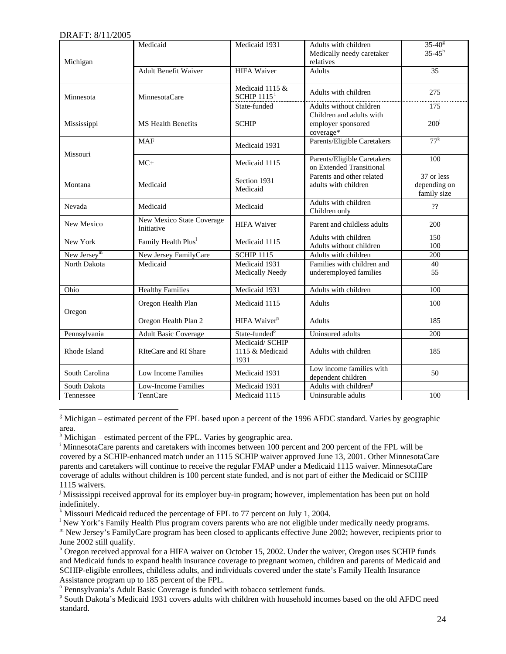$\overline{\phantom{a}}$ 

| Michigan       | Medicaid                                | Medicaid 1931                              | Adults with children<br>Medically needy caretaker<br>relatives | $35 - 40^{\circ}$<br>$35 - 45^h$          |
|----------------|-----------------------------------------|--------------------------------------------|----------------------------------------------------------------|-------------------------------------------|
|                | <b>Adult Benefit Waiver</b>             | <b>HIFA</b> Waiver                         | <b>Adults</b>                                                  | 35                                        |
| Minnesota      | MinnesotaCare                           | Medicaid 1115 &<br>$SCHIP$ 1115 $^i$       | Adults with children                                           | 275                                       |
|                |                                         | State-funded                               | Adults without children                                        | 175                                       |
| Mississippi    | <b>MS</b> Health Benefits               | <b>SCHIP</b>                               | Children and adults with<br>employer sponsored<br>coverage*    | 200 <sup>j</sup>                          |
| Missouri       | <b>MAF</b>                              | Medicaid 1931                              | Parents/Eligible Caretakers                                    | $77^k$                                    |
|                | $MC+$                                   | Medicaid 1115                              | Parents/Eligible Caretakers<br>on Extended Transitional        | 100                                       |
| Montana        | Medicaid                                | Section 1931<br>Medicaid                   | Parents and other related<br>adults with children              | 37 or less<br>depending on<br>family size |
| Nevada         | Medicaid                                | Medicaid                                   | Adults with children<br>Children only                          | $\mathcal{V}^{\prime}$                    |
| New Mexico     | New Mexico State Coverage<br>Initiative | <b>HIFA Waiver</b>                         | Parent and childless adults                                    | 200                                       |
| New York       | Family Health Plus <sup>1</sup>         | Medicaid 1115                              | Adults with children<br>Adults without children                | 150<br>100                                |
| New Jersey $m$ | New Jersey FamilyCare                   | <b>SCHIP 1115</b>                          | Adults with children                                           | 200                                       |
| North Dakota   | Medicaid                                | Medicaid 1931<br>Medically Needy           | Families with children and<br>underemployed families           | 40<br>55                                  |
| Ohio           | <b>Healthy Families</b>                 | Medicaid 1931                              | Adults with children                                           | 100                                       |
| Oregon         | Oregon Health Plan                      | Medicaid 1115                              | <b>Adults</b>                                                  | 100                                       |
|                | Oregon Health Plan 2                    | HIFA Waiver <sup>n</sup>                   | <b>Adults</b>                                                  | 185                                       |
| Pennsylvania   | <b>Adult Basic Coverage</b>             | State-funded <sup>o</sup>                  | Uninsured adults                                               | 200                                       |
| Rhode Island   | RIteCare and RI Share                   | Medicaid/ SCHIP<br>1115 & Medicaid<br>1931 | Adults with children                                           | 185                                       |
| South Carolina | Low Income Families                     | Medicaid 1931                              | Low income families with<br>dependent children                 | 50                                        |
| South Dakota   | Low-Income Families                     | Medicaid 1931                              | Adults with children <sup>p</sup>                              |                                           |
| Tennessee      | TennCare                                | Medicaid 1115                              | Uninsurable adults                                             | 100                                       |

<span id="page-23-0"></span><sup>g</sup> Michigan – estimated percent of the FPL based upon a percent of the 1996 AFDC standard. Varies by geographic area.

<span id="page-23-1"></span><sup>h</sup> Michigan – estimated percent of the FPL. Varies by geographic area.

<span id="page-23-2"></span><sup>i</sup> MinnesotaCare parents and caretakers with incomes between 100 percent and 200 percent of the FPL will be covered by a SCHIP-enhanced match under an 1115 SCHIP waiver approved June 13, 2001. Other MinnesotaCare parents and caretakers will continue to receive the regular FMAP under a Medicaid 1115 waiver. MinnesotaCare coverage of adults without children is 100 percent state funded, and is not part of either the Medicaid or SCHIP 1115 waivers.

<span id="page-23-3"></span><sup>j</sup> Mississippi received approval for its employer buy-in program; however, implementation has been put on hold indefinitely.

<span id="page-23-4"></span><sup>k</sup> Missouri Medicaid reduced the percentage of FPL to 77 percent on July 1, 2004.

<span id="page-23-5"></span><sup>1</sup> New York's Family Health Plus program covers parents who are not eligible under medically needy programs.

<span id="page-23-6"></span>m New Jersey's FamilyCare program has been closed to applicants effective June 2002; however, recipients prior to June 2002 still qualify.

<span id="page-23-7"></span><sup>n</sup> Oregon received approval for a HIFA waiver on October 15, 2002. Under the waiver, Oregon uses SCHIP funds and Medicaid funds to expand health insurance coverage to pregnant women, children and parents of Medicaid and SCHIP-eligible enrollees, childless adults, and individuals covered under the state's Family Health Insurance Assistance program up to 185 percent of the FPL.

<span id="page-23-8"></span><sup>o</sup> Pennsylvania's Adult Basic Coverage is funded with tobacco settlement funds.

<span id="page-23-9"></span><sup>p</sup> South Dakota's Medicaid 1931 covers adults with children with household incomes based on the old AFDC need standard.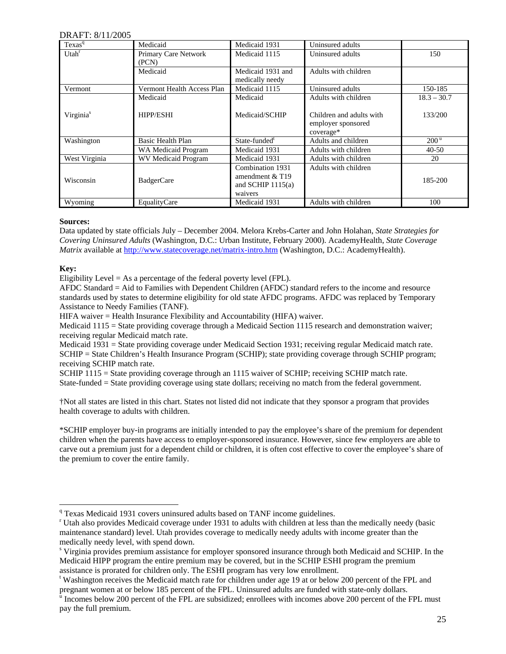| Texas <sup>q</sup>    | Medicaid                   | Medicaid 1931             | Uninsured adults         |                  |
|-----------------------|----------------------------|---------------------------|--------------------------|------------------|
| Utah <sup>r</sup>     | Primary Care Network       | Medicaid 1115             | Uninsured adults         | 150              |
|                       | (PCN)                      |                           |                          |                  |
|                       | Medicaid                   | Medicaid 1931 and         | Adults with children     |                  |
|                       |                            | medically needy           |                          |                  |
| Vermont               | Vermont Health Access Plan | Medicaid 1115             | Uninsured adults         | 150-185          |
|                       | Medicaid                   | Medicaid                  | Adults with children     | $18.3 - 30.7$    |
|                       |                            |                           |                          |                  |
| Virginia <sup>s</sup> | <b>HIPP/ESHI</b>           | Medicaid/SCHIP            | Children and adults with | 133/200          |
|                       |                            |                           | employer sponsored       |                  |
|                       |                            |                           | coverage*                |                  |
| Washington            | Basic Health Plan          | State-funded <sup>t</sup> | Adults and children      | 200 <sup>u</sup> |
|                       | WA Medicaid Program        | Medicaid 1931             | Adults with children     | $40 - 50$        |
| West Virginia         | <b>WV Medicaid Program</b> | Medicaid 1931             | Adults with children     | 20               |
|                       |                            | Combination 1931          | Adults with children     |                  |
| Wisconsin             |                            | amendment $&T19$          |                          | 185-200          |
|                       | <b>BadgerCare</b>          | and SCHIP $1115(a)$       |                          |                  |
|                       |                            | waivers                   |                          |                  |
| Wyoming               | EqualityCare               | Medicaid 1931             | Adults with children     | 100              |

#### **Sources:**

Data updated by state officials July – December 2004. Melora Krebs-Carter and John Holahan, *State Strategies for Covering Uninsured Adults* (Washington, D.C.: Urban Institute, February 2000). AcademyHealth, *State Coverage Matrix* available at<http://www.statecoverage.net/matrix-intro.htm> (Washington, D.C.: AcademyHealth).

#### **Key:**

l

Eligibility Level  $= As a percentage of the federal powerty level (FPL).$ 

AFDC Standard = Aid to Families with Dependent Children (AFDC) standard refers to the income and resource standards used by states to determine eligibility for old state AFDC programs. AFDC was replaced by Temporary Assistance to Needy Families (TANF).

HIFA waiver = Health Insurance Flexibility and Accountability (HIFA) waiver.

Medicaid 1115 = State providing coverage through a Medicaid Section 1115 research and demonstration waiver; receiving regular Medicaid match rate.

Medicaid 1931 = State providing coverage under Medicaid Section 1931; receiving regular Medicaid match rate. SCHIP = State Children's Health Insurance Program (SCHIP); state providing coverage through SCHIP program; receiving SCHIP match rate.

SCHIP 1115 = State providing coverage through an 1115 waiver of SCHIP; receiving SCHIP match rate. State-funded = State providing coverage using state dollars; receiving no match from the federal government.

†Not all states are listed in this chart. States not listed did not indicate that they sponsor a program that provides health coverage to adults with children.

\*SCHIP employer buy-in programs are initially intended to pay the employee's share of the premium for dependent children when the parents have access to employer-sponsored insurance. However, since few employers are able to carve out a premium just for a dependent child or children, it is often cost effective to cover the employee's share of the premium to cover the entire family.

<span id="page-24-3"></span><sup>t</sup> Washington receives the Medicaid match rate for children under age 19 at or below 200 percent of the FPL and pregnant women at or below 185 percent of the FPL. Uninsured adults are funded with state-only dollars.

<span id="page-24-0"></span><sup>&</sup>lt;sup>q</sup> Texas Medicaid 1931 covers uninsured adults based on TANF income guidelines.

<span id="page-24-1"></span><sup>&</sup>lt;sup>r</sup> Utah also provides Medicaid coverage under 1931 to adults with children at less than the medically needy (basic maintenance standard) level. Utah provides coverage to medically needy adults with income greater than the medically needy level, with spend down.

<span id="page-24-2"></span><sup>&</sup>lt;sup>s</sup> Virginia provides premium assistance for employer sponsored insurance through both Medicaid and SCHIP. In the Medicaid HIPP program the entire premium may be covered, but in the SCHIP ESHI program the premium assistance is prorated for children only. The ESHI program has very low enrollment.

<span id="page-24-4"></span> $\overline{u}$  Incomes below 200 percent of the FPL are subsidized; enrollees with incomes above 200 percent of the FPL must pay the full premium.